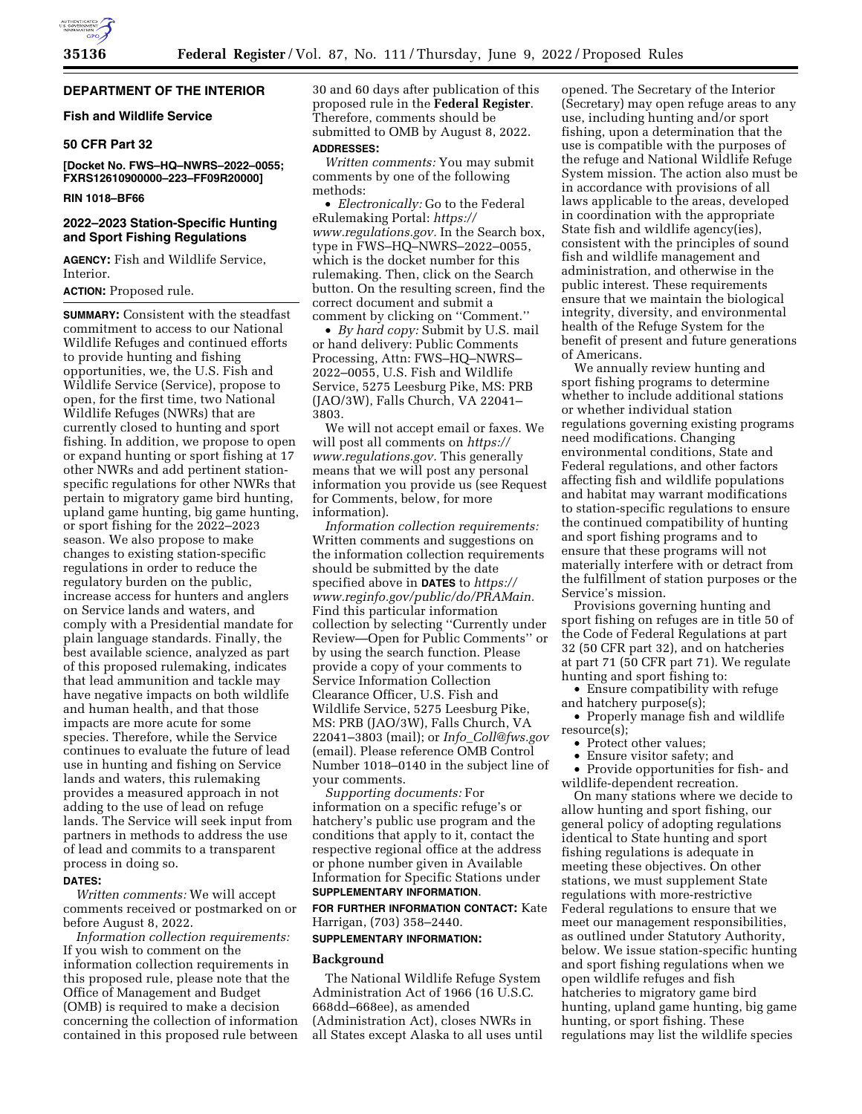# **DEPARTMENT OF THE INTERIOR**

# **Fish and Wildlife Service**

# **50 CFR Part 32**

**[Docket No. FWS–HQ–NWRS–2022–0055; FXRS12610900000–223–FF09R20000]** 

# **RIN 1018–BF66**

# **2022–2023 Station-Specific Hunting and Sport Fishing Regulations**

**AGENCY:** Fish and Wildlife Service, Interior.

# **ACTION:** Proposed rule.

**SUMMARY:** Consistent with the steadfast commitment to access to our National Wildlife Refuges and continued efforts to provide hunting and fishing opportunities, we, the U.S. Fish and Wildlife Service (Service), propose to open, for the first time, two National Wildlife Refuges (NWRs) that are currently closed to hunting and sport fishing. In addition, we propose to open or expand hunting or sport fishing at 17 other NWRs and add pertinent stationspecific regulations for other NWRs that pertain to migratory game bird hunting, upland game hunting, big game hunting, or sport fishing for the 2022–2023 season. We also propose to make changes to existing station-specific regulations in order to reduce the regulatory burden on the public, increase access for hunters and anglers on Service lands and waters, and comply with a Presidential mandate for plain language standards. Finally, the best available science, analyzed as part of this proposed rulemaking, indicates that lead ammunition and tackle may have negative impacts on both wildlife and human health, and that those impacts are more acute for some species. Therefore, while the Service continues to evaluate the future of lead use in hunting and fishing on Service lands and waters, this rulemaking provides a measured approach in not adding to the use of lead on refuge lands. The Service will seek input from partners in methods to address the use of lead and commits to a transparent process in doing so.

# **DATES:**

*Written comments:* We will accept comments received or postmarked on or before August 8, 2022.

*Information collection requirements:*  If you wish to comment on the information collection requirements in this proposed rule, please note that the Office of Management and Budget (OMB) is required to make a decision concerning the collection of information contained in this proposed rule between 30 and 60 days after publication of this proposed rule in the **Federal Register**. Therefore, comments should be submitted to OMB by August 8, 2022. **ADDRESSES:**

# *Written comments:* You may submit

comments by one of the following methods:

• *Electronically:* Go to the Federal eRulemaking Portal: *[https://](https://www.regulations.gov) [www.regulations.gov.](https://www.regulations.gov)* In the Search box, type in FWS–HQ–NWRS–2022–0055, which is the docket number for this rulemaking. Then, click on the Search button. On the resulting screen, find the correct document and submit a comment by clicking on ''Comment.''

• *By hard copy:* Submit by U.S. mail or hand delivery: Public Comments Processing, Attn: FWS–HQ–NWRS– 2022–0055, U.S. Fish and Wildlife Service, 5275 Leesburg Pike, MS: PRB (JAO/3W), Falls Church, VA 22041– 3803.

We will not accept email or faxes. We will post all comments on *[https://](https://www.regulations.gov) [www.regulations.gov.](https://www.regulations.gov)* This generally means that we will post any personal information you provide us (see Request for Comments, below, for more information).

*Information collection requirements:*  Written comments and suggestions on the information collection requirements should be submitted by the date specified above in **DATES** to *[https://](https://www.reginfo.gov/public/do/PRAMain) [www.reginfo.gov/public/do/PRAMain.](https://www.reginfo.gov/public/do/PRAMain)*  Find this particular information collection by selecting ''Currently under Review—Open for Public Comments'' or by using the search function. Please provide a copy of your comments to Service Information Collection Clearance Officer, U.S. Fish and Wildlife Service, 5275 Leesburg Pike, MS: PRB (JAO/3W), Falls Church, VA 22041–3803 (mail); or *Info*\_*[Coll@fws.gov](mailto:Info_Coll@fws.gov)*  (email). Please reference OMB Control Number 1018–0140 in the subject line of your comments.

*Supporting documents:* For information on a specific refuge's or hatchery's public use program and the conditions that apply to it, contact the respective regional office at the address or phone number given in Available Information for Specific Stations under **SUPPLEMENTARY INFORMATION**.

**FOR FURTHER INFORMATION CONTACT:** Kate Harrigan, (703) 358–2440.

# **SUPPLEMENTARY INFORMATION:**

### **Background**

The National Wildlife Refuge System Administration Act of 1966 (16 U.S.C. 668dd–668ee), as amended (Administration Act), closes NWRs in all States except Alaska to all uses until

opened. The Secretary of the Interior (Secretary) may open refuge areas to any use, including hunting and/or sport fishing, upon a determination that the use is compatible with the purposes of the refuge and National Wildlife Refuge System mission. The action also must be in accordance with provisions of all laws applicable to the areas, developed in coordination with the appropriate State fish and wildlife agency(ies), consistent with the principles of sound fish and wildlife management and administration, and otherwise in the public interest. These requirements ensure that we maintain the biological integrity, diversity, and environmental health of the Refuge System for the benefit of present and future generations of Americans.

We annually review hunting and sport fishing programs to determine whether to include additional stations or whether individual station regulations governing existing programs need modifications. Changing environmental conditions, State and Federal regulations, and other factors affecting fish and wildlife populations and habitat may warrant modifications to station-specific regulations to ensure the continued compatibility of hunting and sport fishing programs and to ensure that these programs will not materially interfere with or detract from the fulfillment of station purposes or the Service's mission.

Provisions governing hunting and sport fishing on refuges are in title 50 of the Code of Federal Regulations at part 32 (50 CFR part 32), and on hatcheries at part 71 (50 CFR part 71). We regulate hunting and sport fishing to:

• Ensure compatibility with refuge and hatchery purpose(s);

• Properly manage fish and wildlife resource(s);

- Protect other values;
- Ensure visitor safety; and

• Provide opportunities for fish- and wildlife-dependent recreation.

On many stations where we decide to allow hunting and sport fishing, our general policy of adopting regulations identical to State hunting and sport fishing regulations is adequate in meeting these objectives. On other stations, we must supplement State regulations with more-restrictive Federal regulations to ensure that we meet our management responsibilities, as outlined under Statutory Authority, below. We issue station-specific hunting and sport fishing regulations when we open wildlife refuges and fish hatcheries to migratory game bird hunting, upland game hunting, big game hunting, or sport fishing. These regulations may list the wildlife species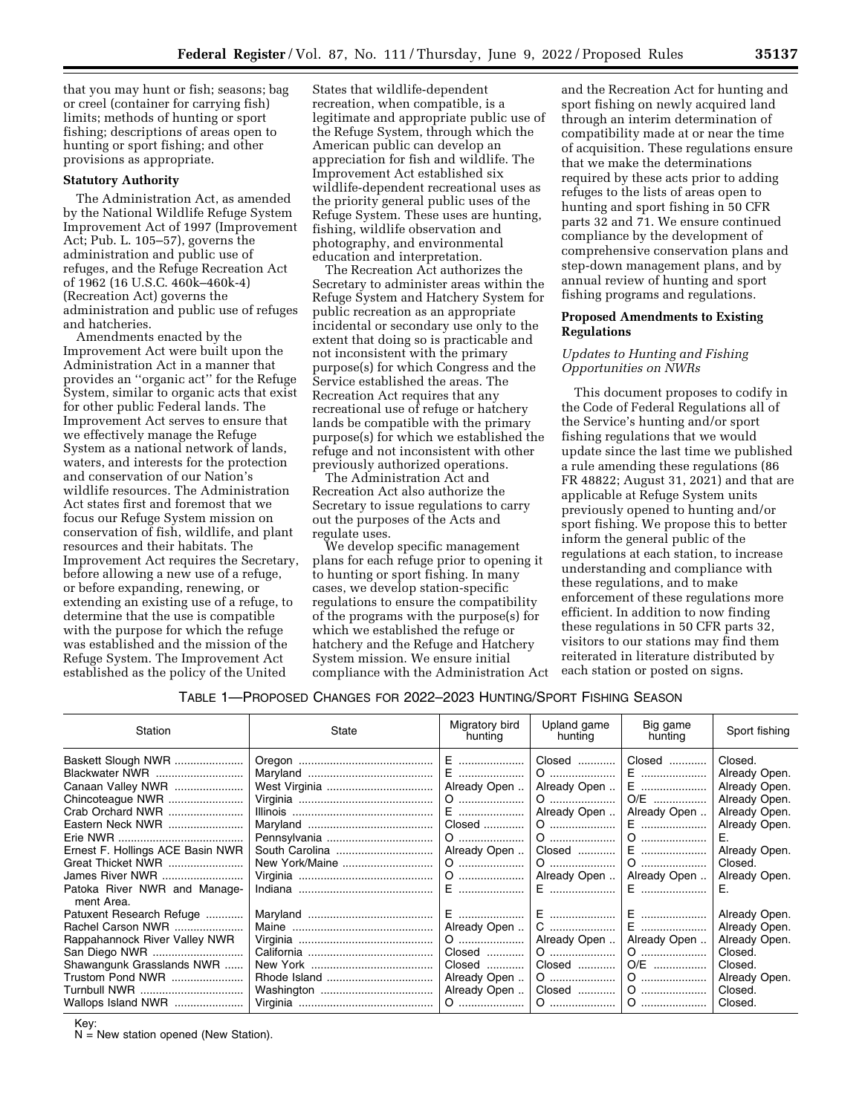that you may hunt or fish; seasons; bag or creel (container for carrying fish) limits; methods of hunting or sport fishing; descriptions of areas open to hunting or sport fishing; and other provisions as appropriate.

#### **Statutory Authority**

The Administration Act, as amended by the National Wildlife Refuge System Improvement Act of 1997 (Improvement Act; Pub. L. 105–57), governs the administration and public use of refuges, and the Refuge Recreation Act of 1962 (16 U.S.C. 460k–460k-4) (Recreation Act) governs the administration and public use of refuges and hatcheries.

Amendments enacted by the Improvement Act were built upon the Administration Act in a manner that provides an ''organic act'' for the Refuge System, similar to organic acts that exist for other public Federal lands. The Improvement Act serves to ensure that we effectively manage the Refuge System as a national network of lands, waters, and interests for the protection and conservation of our Nation's wildlife resources. The Administration Act states first and foremost that we focus our Refuge System mission on conservation of fish, wildlife, and plant resources and their habitats. The Improvement Act requires the Secretary, before allowing a new use of a refuge, or before expanding, renewing, or extending an existing use of a refuge, to determine that the use is compatible with the purpose for which the refuge was established and the mission of the Refuge System. The Improvement Act established as the policy of the United

States that wildlife-dependent recreation, when compatible, is a legitimate and appropriate public use of the Refuge System, through which the American public can develop an appreciation for fish and wildlife. The Improvement Act established six wildlife-dependent recreational uses as the priority general public uses of the Refuge System. These uses are hunting, fishing, wildlife observation and photography, and environmental education and interpretation.

The Recreation Act authorizes the Secretary to administer areas within the Refuge System and Hatchery System for public recreation as an appropriate incidental or secondary use only to the extent that doing so is practicable and not inconsistent with the primary purpose(s) for which Congress and the Service established the areas. The Recreation Act requires that any recreational use of refuge or hatchery lands be compatible with the primary purpose(s) for which we established the refuge and not inconsistent with other previously authorized operations.

The Administration Act and Recreation Act also authorize the Secretary to issue regulations to carry out the purposes of the Acts and regulate uses.

We develop specific management plans for each refuge prior to opening it to hunting or sport fishing. In many cases, we develop station-specific regulations to ensure the compatibility of the programs with the purpose(s) for which we established the refuge or hatchery and the Refuge and Hatchery System mission. We ensure initial compliance with the Administration Act

and the Recreation Act for hunting and sport fishing on newly acquired land through an interim determination of compatibility made at or near the time of acquisition. These regulations ensure that we make the determinations required by these acts prior to adding refuges to the lists of areas open to hunting and sport fishing in 50 CFR parts 32 and 71. We ensure continued compliance by the development of comprehensive conservation plans and step-down management plans, and by annual review of hunting and sport fishing programs and regulations.

# **Proposed Amendments to Existing Regulations**

# *Updates to Hunting and Fishing Opportunities on NWRs*

This document proposes to codify in the Code of Federal Regulations all of the Service's hunting and/or sport fishing regulations that we would update since the last time we published a rule amending these regulations (86 FR 48822; August 31, 2021) and that are applicable at Refuge System units previously opened to hunting and/or sport fishing. We propose this to better inform the general public of the regulations at each station, to increase understanding and compliance with these regulations, and to make enforcement of these regulations more efficient. In addition to now finding these regulations in 50 CFR parts 32, visitors to our stations may find them reiterated in literature distributed by each station or posted on signs.

TABLE 1—PROPOSED CHANGES FOR 2022–2023 HUNTING/SPORT FISHING SEASON

| Station                                                                                                                                                                                           | State          | Migratory bird<br>hunting                                           | Upland game<br>hunting                                                               | Big game<br>hunting                                                    | Sport fishing                                                                                                                                   |
|---------------------------------------------------------------------------------------------------------------------------------------------------------------------------------------------------|----------------|---------------------------------------------------------------------|--------------------------------------------------------------------------------------|------------------------------------------------------------------------|-------------------------------------------------------------------------------------------------------------------------------------------------|
| Baskett Slough NWR<br>Blackwater NWR<br>Canaan Valley NWR<br>Chincoteaque NWR<br>Crab Orchard NWR<br>Eastern Neck NWR<br>Ernest F. Hollings ACE Basin NWR<br>Great Thicket NWR<br>James River NWR | South Carolina | E   <br>Already Open<br>E<br>Closed<br>Already Open                 | 0   <br>Already Open   <br>0   <br>Already Open<br>Closed   <br>0   <br>Already Open | Closed<br>E<br>E<br>O/E<br>Already Open<br>E<br>E<br>0<br>Already Open | Closed.<br>Already Open.<br>Already Open.<br>Already Open.<br>Already Open.<br>Already Open.<br>Е.<br>Already Open.<br>Closed.<br>Already Open. |
| Patoka River NWR and Manage-<br>ment Area.                                                                                                                                                        |                | E                                                                   | I E ………………… I                                                                        | E                                                                      | Е.                                                                                                                                              |
| Patuxent Research Refuge<br>Rachel Carson NWR<br>Rappahannock River Valley NWR<br>Shawangunk Grasslands NWR<br>Trustom Pond NWR<br>Turnbull NWR<br>Wallops Island NWR                             |                | Already Open   <br>Closed<br>Closed<br>Already Open<br>Already Open | Already Open<br>0   <br>Closed   <br>Closed                                          | Already Open<br>0<br>O/E<br>0<br>0                                     | Already Open.<br>Already Open.<br>Already Open.<br>Closed.<br>Closed.<br>Already Open.<br>Closed.<br>Closed.                                    |
|                                                                                                                                                                                                   |                |                                                                     |                                                                                      |                                                                        |                                                                                                                                                 |

Key:

 $N =$  New station opened (New Station).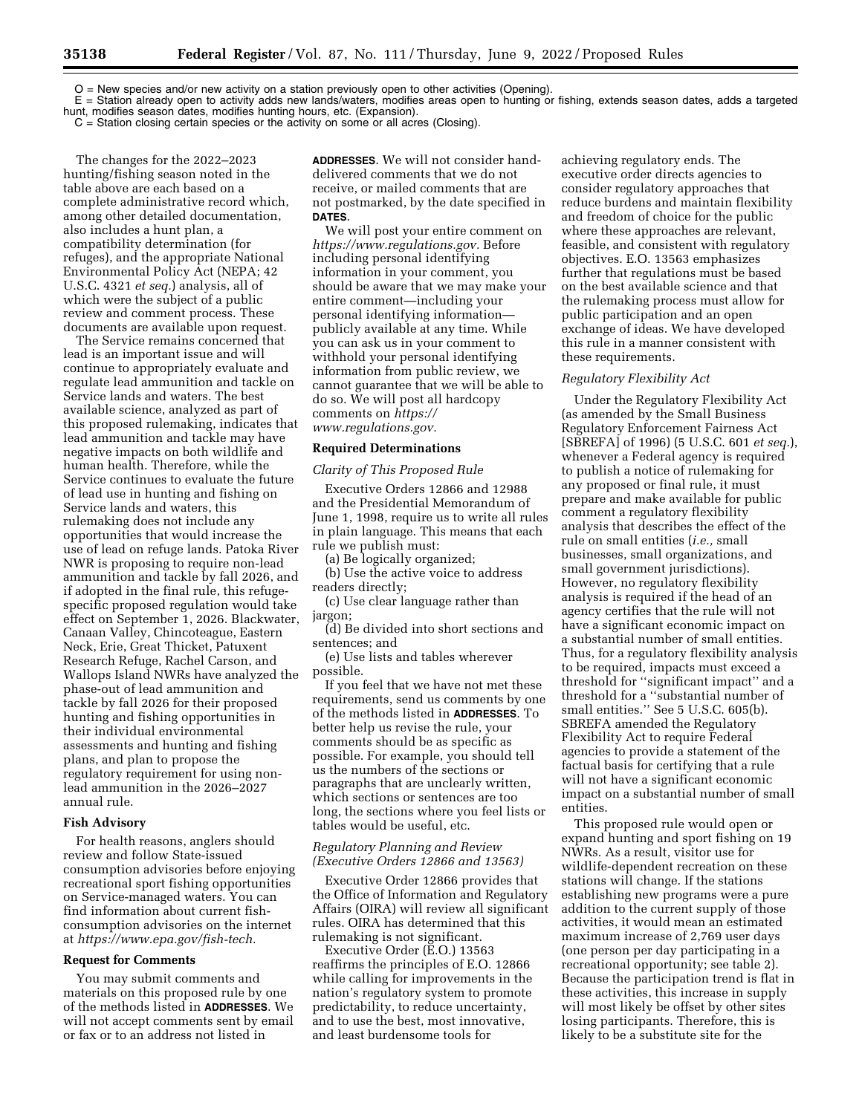O = New species and/or new activity on a station previously open to other activities (Opening). E = Station already open to activity adds new lands/waters, modifies areas open to hunting or fishing, extends season dates, adds a targeted hunt, modifies season dates, modifies hunting hours, etc. (Expansion).

 $C =$  Station closing certain species or the activity on some or all acres (Closing).

The changes for the 2022–2023 hunting/fishing season noted in the table above are each based on a complete administrative record which, among other detailed documentation, also includes a hunt plan, a compatibility determination (for refuges), and the appropriate National Environmental Policy Act (NEPA; 42 U.S.C. 4321 *et seq.*) analysis, all of which were the subject of a public review and comment process. These documents are available upon request.

The Service remains concerned that lead is an important issue and will continue to appropriately evaluate and regulate lead ammunition and tackle on Service lands and waters. The best available science, analyzed as part of this proposed rulemaking, indicates that lead ammunition and tackle may have negative impacts on both wildlife and human health. Therefore, while the Service continues to evaluate the future of lead use in hunting and fishing on Service lands and waters, this rulemaking does not include any opportunities that would increase the use of lead on refuge lands. Patoka River NWR is proposing to require non-lead ammunition and tackle by fall 2026, and if adopted in the final rule, this refugespecific proposed regulation would take effect on September 1, 2026. Blackwater, Canaan Valley, Chincoteague, Eastern Neck, Erie, Great Thicket, Patuxent Research Refuge, Rachel Carson, and Wallops Island NWRs have analyzed the phase-out of lead ammunition and tackle by fall 2026 for their proposed hunting and fishing opportunities in their individual environmental assessments and hunting and fishing plans, and plan to propose the regulatory requirement for using nonlead ammunition in the 2026–2027 annual rule.

#### **Fish Advisory**

For health reasons, anglers should review and follow State-issued consumption advisories before enjoying recreational sport fishing opportunities on Service-managed waters. You can find information about current fishconsumption advisories on the internet at *[https://www.epa.gov/fish-tech.](https://www.epa.gov/fish-tech)* 

#### **Request for Comments**

You may submit comments and materials on this proposed rule by one of the methods listed in **ADDRESSES**. We will not accept comments sent by email or fax or to an address not listed in

**ADDRESSES**. We will not consider handdelivered comments that we do not receive, or mailed comments that are not postmarked, by the date specified in **DATES**.

We will post your entire comment on *[https://www.regulations.gov.](https://www.regulations.gov)* Before including personal identifying information in your comment, you should be aware that we may make your entire comment—including your personal identifying information publicly available at any time. While you can ask us in your comment to withhold your personal identifying information from public review, we cannot guarantee that we will be able to do so. We will post all hardcopy comments on *[https://](https://www.regulations.gov) [www.regulations.gov.](https://www.regulations.gov)* 

#### **Required Determinations**

#### *Clarity of This Proposed Rule*

Executive Orders 12866 and 12988 and the Presidential Memorandum of June 1, 1998, require us to write all rules in plain language. This means that each rule we publish must:

(a) Be logically organized;

(b) Use the active voice to address readers directly;

(c) Use clear language rather than jargon;

(d) Be divided into short sections and sentences; and

(e) Use lists and tables wherever possible.

If you feel that we have not met these requirements, send us comments by one of the methods listed in **ADDRESSES**. To better help us revise the rule, your comments should be as specific as possible. For example, you should tell us the numbers of the sections or paragraphs that are unclearly written, which sections or sentences are too long, the sections where you feel lists or tables would be useful, etc.

#### *Regulatory Planning and Review (Executive Orders 12866 and 13563)*

Executive Order 12866 provides that the Office of Information and Regulatory Affairs (OIRA) will review all significant rules. OIRA has determined that this rulemaking is not significant.

Executive Order (E.O.) 13563 reaffirms the principles of E.O. 12866 while calling for improvements in the nation's regulatory system to promote predictability, to reduce uncertainty, and to use the best, most innovative, and least burdensome tools for

achieving regulatory ends. The executive order directs agencies to consider regulatory approaches that reduce burdens and maintain flexibility and freedom of choice for the public where these approaches are relevant, feasible, and consistent with regulatory objectives. E.O. 13563 emphasizes further that regulations must be based on the best available science and that the rulemaking process must allow for public participation and an open exchange of ideas. We have developed this rule in a manner consistent with these requirements.

#### *Regulatory Flexibility Act*

Under the Regulatory Flexibility Act (as amended by the Small Business Regulatory Enforcement Fairness Act [SBREFA] of 1996) (5 U.S.C. 601 *et seq.*), whenever a Federal agency is required to publish a notice of rulemaking for any proposed or final rule, it must prepare and make available for public comment a regulatory flexibility analysis that describes the effect of the rule on small entities (*i.e.,* small businesses, small organizations, and small government jurisdictions). However, no regulatory flexibility analysis is required if the head of an agency certifies that the rule will not have a significant economic impact on a substantial number of small entities. Thus, for a regulatory flexibility analysis to be required, impacts must exceed a threshold for ''significant impact'' and a threshold for a ''substantial number of small entities.'' See 5 U.S.C. 605(b). SBREFA amended the Regulatory Flexibility Act to require Federal agencies to provide a statement of the factual basis for certifying that a rule will not have a significant economic impact on a substantial number of small entities.

This proposed rule would open or expand hunting and sport fishing on 19 NWRs. As a result, visitor use for wildlife-dependent recreation on these stations will change. If the stations establishing new programs were a pure addition to the current supply of those activities, it would mean an estimated maximum increase of 2,769 user days (one person per day participating in a recreational opportunity; see table 2). Because the participation trend is flat in these activities, this increase in supply will most likely be offset by other sites losing participants. Therefore, this is likely to be a substitute site for the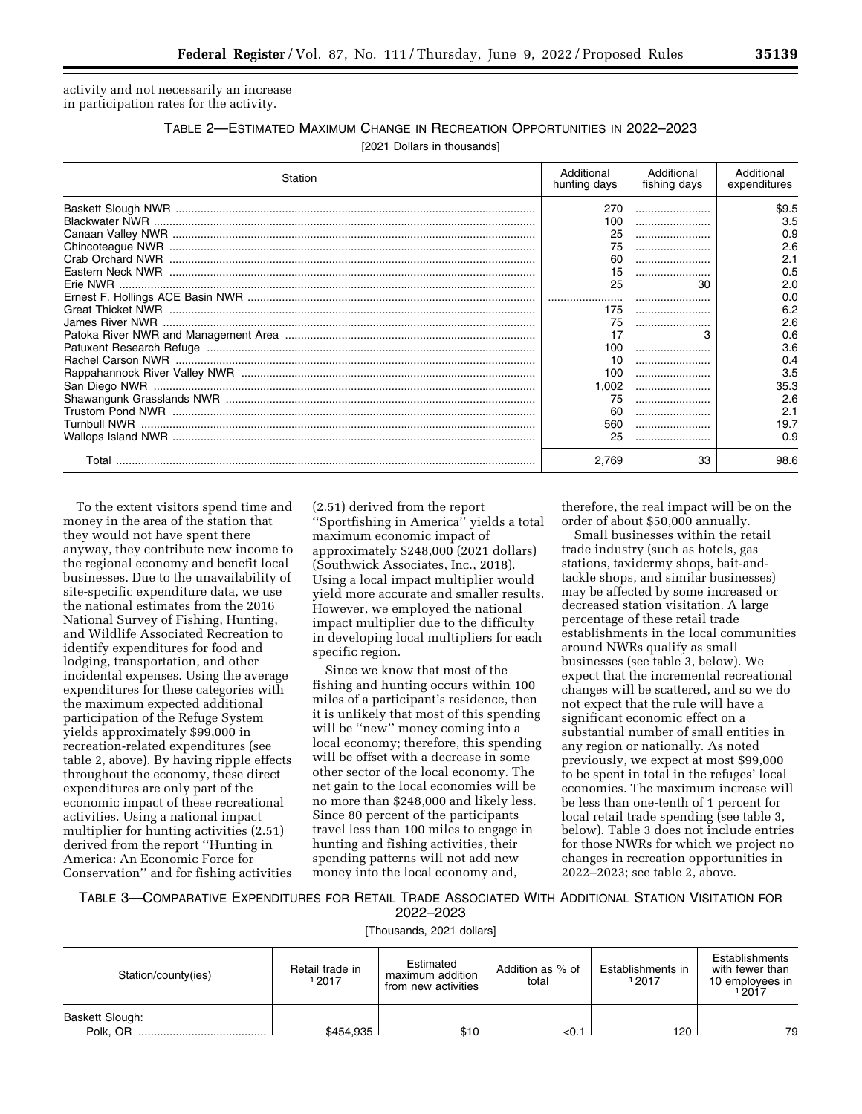activity and not necessarily an increase in participation rates for the activity.

# TABLE 2—ESTIMATED MAXIMUM CHANGE IN RECREATION OPPORTUNITIES IN 2022–2023

[2021 Dollars in thousands]

| Station | Additional<br>hunting days | Additional<br>fishing days | Additional<br>expenditures |
|---------|----------------------------|----------------------------|----------------------------|
|         | 270                        |                            | \$9.5                      |
|         | 100                        |                            | 3.5                        |
|         | 25                         |                            | 0.9                        |
|         | 75                         |                            | 2.6                        |
|         | 60                         |                            | 2.1                        |
|         | 15                         |                            | 0.5                        |
|         | 25                         | 30                         | 2.0                        |
|         |                            |                            | 0.0                        |
|         | 175                        |                            | 6.2                        |
|         | 75                         |                            | 2.6                        |
|         |                            | 3                          | 0.6                        |
|         | 100                        |                            | 3.6                        |
|         | 10                         |                            | 0.4                        |
|         | 100                        |                            | 3.5                        |
|         | 1.002                      |                            | 35.3                       |
|         | 75                         |                            | 2.6                        |
|         | 60                         |                            | 2.1                        |
|         | 560                        |                            | 19.7                       |
|         | 25                         |                            | 0.9                        |
| Total   | 2.769                      | 33                         | 98.6                       |

To the extent visitors spend time and money in the area of the station that they would not have spent there anyway, they contribute new income to the regional economy and benefit local businesses. Due to the unavailability of site-specific expenditure data, we use the national estimates from the 2016 National Survey of Fishing, Hunting, and Wildlife Associated Recreation to identify expenditures for food and lodging, transportation, and other incidental expenses. Using the average expenditures for these categories with the maximum expected additional participation of the Refuge System yields approximately \$99,000 in recreation-related expenditures (see table 2, above). By having ripple effects throughout the economy, these direct expenditures are only part of the economic impact of these recreational activities. Using a national impact multiplier for hunting activities (2.51) derived from the report ''Hunting in America: An Economic Force for Conservation'' and for fishing activities

(2.51) derived from the report ''Sportfishing in America'' yields a total maximum economic impact of approximately \$248,000 (2021 dollars) (Southwick Associates, Inc., 2018). Using a local impact multiplier would yield more accurate and smaller results. However, we employed the national impact multiplier due to the difficulty in developing local multipliers for each specific region.

Since we know that most of the fishing and hunting occurs within 100 miles of a participant's residence, then it is unlikely that most of this spending will be "new" money coming into a local economy; therefore, this spending will be offset with a decrease in some other sector of the local economy. The net gain to the local economies will be no more than \$248,000 and likely less. Since 80 percent of the participants travel less than 100 miles to engage in hunting and fishing activities, their spending patterns will not add new money into the local economy and,

therefore, the real impact will be on the order of about \$50,000 annually.

Small businesses within the retail trade industry (such as hotels, gas stations, taxidermy shops, bait-andtackle shops, and similar businesses) may be affected by some increased or decreased station visitation. A large percentage of these retail trade establishments in the local communities around NWRs qualify as small businesses (see table 3, below). We expect that the incremental recreational changes will be scattered, and so we do not expect that the rule will have a significant economic effect on a substantial number of small entities in any region or nationally. As noted previously, we expect at most \$99,000 to be spent in total in the refuges' local economies. The maximum increase will be less than one-tenth of 1 percent for local retail trade spending (see table 3, below). Table 3 does not include entries for those NWRs for which we project no changes in recreation opportunities in 2022–2023; see table 2, above.

# TABLE 3—COMPARATIVE EXPENDITURES FOR RETAIL TRADE ASSOCIATED WITH ADDITIONAL STATION VISITATION FOR 2022–2023

[Thousands, 2021 dollars]

| Station/county(ies)         | Retail trade in<br>2017 | Estimated<br>maximum addition<br>from new activities | Addition as % of<br>total | Establishments in<br>12017 | Establishments<br>with fewer than<br>10 employees in<br>12017 |
|-----------------------------|-------------------------|------------------------------------------------------|---------------------------|----------------------------|---------------------------------------------------------------|
| Baskett Slough:<br>Polk. OR | \$454,935               | \$10                                                 | <0.1                      | 120                        | 79                                                            |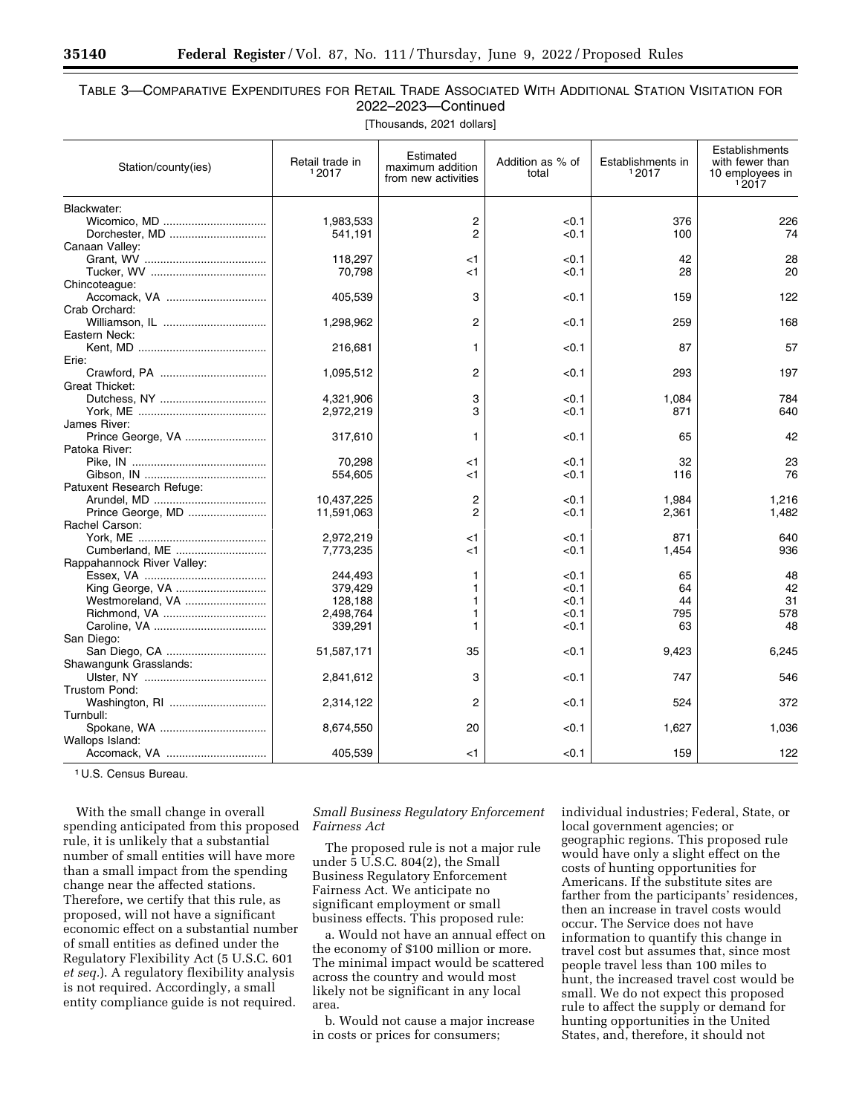# TABLE 3—COMPARATIVE EXPENDITURES FOR RETAIL TRADE ASSOCIATED WITH ADDITIONAL STATION VISITATION FOR 2022–2023—Continued

[Thousands, 2021 dollars]

| 2<br>1,983,533<br>< 0.1<br>376<br>226<br>$\overline{2}$<br>Dorchester, MD<br>100<br>74<br>541,191<br>< 0.1<br>118,297<br>28<br>$<$ 1<br>< 0.1<br>42<br>20<br>70,798<br>$<$ 1<br>< 0.1<br>28<br>3<br>405,539<br>< 0.1<br>159<br>122<br>Crab Orchard:<br>Williamson, IL<br>2<br>1,298,962<br>< 0.1<br>259<br>168<br>Eastern Neck:<br>57<br>216,681<br>1<br>< 0.1<br>87<br>Erie:<br>2<br>1,095,512<br>< 0.1<br>293<br>197<br>Great Thicket:<br>3<br>4,321,906<br>< 0.1<br>1,084<br>784<br>3<br>871<br>640<br>2,972,219<br>< 0.1<br>James River:<br>Prince George, VA<br>42<br>317,610<br>1<br>< 0.1<br>65<br>Patoka River:<br>70,298<br>23<br>$<$ 1<br>< 0.1<br>32<br>76<br>554,605<br>$<$ 1<br>< 0.1<br>116<br>Patuxent Research Refuge:<br>$\overline{c}$<br>10,437,225<br>< 0.1<br>1,984<br>1,216<br>$\overline{c}$<br>Prince George, MD<br>1,482<br>11,591,063<br>< 0.1<br>2,361<br>Rachel Carson:<br>2,972,219<br>< 0.1<br>871<br>640<br><1<br>Cumberland, ME<br>7,773,235<br>< 0.1<br>1,454<br>936<br>$<$ 1<br>Rappahannock River Valley:<br>48<br>244,493<br>1<br>< 0.1<br>65<br>42<br>King George, VA<br>379,429<br>1<br>< 0.1<br>64<br>Westmoreland, VA<br>31<br>128,188<br>1<br>< 0.1<br>44<br>578<br>2,498,764<br>1<br>< 0.1<br>795<br>339,291<br>48<br>1<br>< 0.1<br>63<br>San Diego:<br>San Diego, CA<br>9,423<br>51,587,171<br>35<br>< 0.1<br>6,245<br>Shawangunk Grasslands:<br>3<br>747<br>546<br>2,841,612<br>< 0.1<br>Trustom Pond:<br>Washington, RI<br>2<br>524<br>372<br>2,314,122<br>< 0.1<br>Spokane, WA<br>1,627<br>8,674,550<br>20<br>< 0.1<br>1,036<br>Wallops Island:<br>Accomack, VA<br>< 0.1<br>122<br>405,539<br>159<br><1 | Station/county(ies) | Retail trade in<br>12017 | Estimated<br>maximum addition<br>from new activities | Addition as % of<br>total | Establishments in<br>12017 | Establishments<br>with fewer than<br>10 employees in<br>12017 |
|-------------------------------------------------------------------------------------------------------------------------------------------------------------------------------------------------------------------------------------------------------------------------------------------------------------------------------------------------------------------------------------------------------------------------------------------------------------------------------------------------------------------------------------------------------------------------------------------------------------------------------------------------------------------------------------------------------------------------------------------------------------------------------------------------------------------------------------------------------------------------------------------------------------------------------------------------------------------------------------------------------------------------------------------------------------------------------------------------------------------------------------------------------------------------------------------------------------------------------------------------------------------------------------------------------------------------------------------------------------------------------------------------------------------------------------------------------------------------------------------------------------------------------------------------------------------------------------------------------------------------------------------------------|---------------------|--------------------------|------------------------------------------------------|---------------------------|----------------------------|---------------------------------------------------------------|
|                                                                                                                                                                                                                                                                                                                                                                                                                                                                                                                                                                                                                                                                                                                                                                                                                                                                                                                                                                                                                                                                                                                                                                                                                                                                                                                                                                                                                                                                                                                                                                                                                                                       | Blackwater:         |                          |                                                      |                           |                            |                                                               |
|                                                                                                                                                                                                                                                                                                                                                                                                                                                                                                                                                                                                                                                                                                                                                                                                                                                                                                                                                                                                                                                                                                                                                                                                                                                                                                                                                                                                                                                                                                                                                                                                                                                       |                     |                          |                                                      |                           |                            |                                                               |
|                                                                                                                                                                                                                                                                                                                                                                                                                                                                                                                                                                                                                                                                                                                                                                                                                                                                                                                                                                                                                                                                                                                                                                                                                                                                                                                                                                                                                                                                                                                                                                                                                                                       |                     |                          |                                                      |                           |                            |                                                               |
|                                                                                                                                                                                                                                                                                                                                                                                                                                                                                                                                                                                                                                                                                                                                                                                                                                                                                                                                                                                                                                                                                                                                                                                                                                                                                                                                                                                                                                                                                                                                                                                                                                                       | Canaan Valley:      |                          |                                                      |                           |                            |                                                               |
|                                                                                                                                                                                                                                                                                                                                                                                                                                                                                                                                                                                                                                                                                                                                                                                                                                                                                                                                                                                                                                                                                                                                                                                                                                                                                                                                                                                                                                                                                                                                                                                                                                                       |                     |                          |                                                      |                           |                            |                                                               |
|                                                                                                                                                                                                                                                                                                                                                                                                                                                                                                                                                                                                                                                                                                                                                                                                                                                                                                                                                                                                                                                                                                                                                                                                                                                                                                                                                                                                                                                                                                                                                                                                                                                       |                     |                          |                                                      |                           |                            |                                                               |
|                                                                                                                                                                                                                                                                                                                                                                                                                                                                                                                                                                                                                                                                                                                                                                                                                                                                                                                                                                                                                                                                                                                                                                                                                                                                                                                                                                                                                                                                                                                                                                                                                                                       | Chincoteague:       |                          |                                                      |                           |                            |                                                               |
|                                                                                                                                                                                                                                                                                                                                                                                                                                                                                                                                                                                                                                                                                                                                                                                                                                                                                                                                                                                                                                                                                                                                                                                                                                                                                                                                                                                                                                                                                                                                                                                                                                                       |                     |                          |                                                      |                           |                            |                                                               |
|                                                                                                                                                                                                                                                                                                                                                                                                                                                                                                                                                                                                                                                                                                                                                                                                                                                                                                                                                                                                                                                                                                                                                                                                                                                                                                                                                                                                                                                                                                                                                                                                                                                       |                     |                          |                                                      |                           |                            |                                                               |
|                                                                                                                                                                                                                                                                                                                                                                                                                                                                                                                                                                                                                                                                                                                                                                                                                                                                                                                                                                                                                                                                                                                                                                                                                                                                                                                                                                                                                                                                                                                                                                                                                                                       |                     |                          |                                                      |                           |                            |                                                               |
|                                                                                                                                                                                                                                                                                                                                                                                                                                                                                                                                                                                                                                                                                                                                                                                                                                                                                                                                                                                                                                                                                                                                                                                                                                                                                                                                                                                                                                                                                                                                                                                                                                                       |                     |                          |                                                      |                           |                            |                                                               |
|                                                                                                                                                                                                                                                                                                                                                                                                                                                                                                                                                                                                                                                                                                                                                                                                                                                                                                                                                                                                                                                                                                                                                                                                                                                                                                                                                                                                                                                                                                                                                                                                                                                       |                     |                          |                                                      |                           |                            |                                                               |
|                                                                                                                                                                                                                                                                                                                                                                                                                                                                                                                                                                                                                                                                                                                                                                                                                                                                                                                                                                                                                                                                                                                                                                                                                                                                                                                                                                                                                                                                                                                                                                                                                                                       |                     |                          |                                                      |                           |                            |                                                               |
|                                                                                                                                                                                                                                                                                                                                                                                                                                                                                                                                                                                                                                                                                                                                                                                                                                                                                                                                                                                                                                                                                                                                                                                                                                                                                                                                                                                                                                                                                                                                                                                                                                                       |                     |                          |                                                      |                           |                            |                                                               |
|                                                                                                                                                                                                                                                                                                                                                                                                                                                                                                                                                                                                                                                                                                                                                                                                                                                                                                                                                                                                                                                                                                                                                                                                                                                                                                                                                                                                                                                                                                                                                                                                                                                       |                     |                          |                                                      |                           |                            |                                                               |
|                                                                                                                                                                                                                                                                                                                                                                                                                                                                                                                                                                                                                                                                                                                                                                                                                                                                                                                                                                                                                                                                                                                                                                                                                                                                                                                                                                                                                                                                                                                                                                                                                                                       |                     |                          |                                                      |                           |                            |                                                               |
|                                                                                                                                                                                                                                                                                                                                                                                                                                                                                                                                                                                                                                                                                                                                                                                                                                                                                                                                                                                                                                                                                                                                                                                                                                                                                                                                                                                                                                                                                                                                                                                                                                                       |                     |                          |                                                      |                           |                            |                                                               |
|                                                                                                                                                                                                                                                                                                                                                                                                                                                                                                                                                                                                                                                                                                                                                                                                                                                                                                                                                                                                                                                                                                                                                                                                                                                                                                                                                                                                                                                                                                                                                                                                                                                       |                     |                          |                                                      |                           |                            |                                                               |
|                                                                                                                                                                                                                                                                                                                                                                                                                                                                                                                                                                                                                                                                                                                                                                                                                                                                                                                                                                                                                                                                                                                                                                                                                                                                                                                                                                                                                                                                                                                                                                                                                                                       |                     |                          |                                                      |                           |                            |                                                               |
|                                                                                                                                                                                                                                                                                                                                                                                                                                                                                                                                                                                                                                                                                                                                                                                                                                                                                                                                                                                                                                                                                                                                                                                                                                                                                                                                                                                                                                                                                                                                                                                                                                                       |                     |                          |                                                      |                           |                            |                                                               |
|                                                                                                                                                                                                                                                                                                                                                                                                                                                                                                                                                                                                                                                                                                                                                                                                                                                                                                                                                                                                                                                                                                                                                                                                                                                                                                                                                                                                                                                                                                                                                                                                                                                       |                     |                          |                                                      |                           |                            |                                                               |
|                                                                                                                                                                                                                                                                                                                                                                                                                                                                                                                                                                                                                                                                                                                                                                                                                                                                                                                                                                                                                                                                                                                                                                                                                                                                                                                                                                                                                                                                                                                                                                                                                                                       |                     |                          |                                                      |                           |                            |                                                               |
|                                                                                                                                                                                                                                                                                                                                                                                                                                                                                                                                                                                                                                                                                                                                                                                                                                                                                                                                                                                                                                                                                                                                                                                                                                                                                                                                                                                                                                                                                                                                                                                                                                                       |                     |                          |                                                      |                           |                            |                                                               |
|                                                                                                                                                                                                                                                                                                                                                                                                                                                                                                                                                                                                                                                                                                                                                                                                                                                                                                                                                                                                                                                                                                                                                                                                                                                                                                                                                                                                                                                                                                                                                                                                                                                       |                     |                          |                                                      |                           |                            |                                                               |
|                                                                                                                                                                                                                                                                                                                                                                                                                                                                                                                                                                                                                                                                                                                                                                                                                                                                                                                                                                                                                                                                                                                                                                                                                                                                                                                                                                                                                                                                                                                                                                                                                                                       |                     |                          |                                                      |                           |                            |                                                               |
|                                                                                                                                                                                                                                                                                                                                                                                                                                                                                                                                                                                                                                                                                                                                                                                                                                                                                                                                                                                                                                                                                                                                                                                                                                                                                                                                                                                                                                                                                                                                                                                                                                                       |                     |                          |                                                      |                           |                            |                                                               |
|                                                                                                                                                                                                                                                                                                                                                                                                                                                                                                                                                                                                                                                                                                                                                                                                                                                                                                                                                                                                                                                                                                                                                                                                                                                                                                                                                                                                                                                                                                                                                                                                                                                       |                     |                          |                                                      |                           |                            |                                                               |
|                                                                                                                                                                                                                                                                                                                                                                                                                                                                                                                                                                                                                                                                                                                                                                                                                                                                                                                                                                                                                                                                                                                                                                                                                                                                                                                                                                                                                                                                                                                                                                                                                                                       |                     |                          |                                                      |                           |                            |                                                               |
|                                                                                                                                                                                                                                                                                                                                                                                                                                                                                                                                                                                                                                                                                                                                                                                                                                                                                                                                                                                                                                                                                                                                                                                                                                                                                                                                                                                                                                                                                                                                                                                                                                                       |                     |                          |                                                      |                           |                            |                                                               |
|                                                                                                                                                                                                                                                                                                                                                                                                                                                                                                                                                                                                                                                                                                                                                                                                                                                                                                                                                                                                                                                                                                                                                                                                                                                                                                                                                                                                                                                                                                                                                                                                                                                       |                     |                          |                                                      |                           |                            |                                                               |
|                                                                                                                                                                                                                                                                                                                                                                                                                                                                                                                                                                                                                                                                                                                                                                                                                                                                                                                                                                                                                                                                                                                                                                                                                                                                                                                                                                                                                                                                                                                                                                                                                                                       |                     |                          |                                                      |                           |                            |                                                               |
|                                                                                                                                                                                                                                                                                                                                                                                                                                                                                                                                                                                                                                                                                                                                                                                                                                                                                                                                                                                                                                                                                                                                                                                                                                                                                                                                                                                                                                                                                                                                                                                                                                                       |                     |                          |                                                      |                           |                            |                                                               |
|                                                                                                                                                                                                                                                                                                                                                                                                                                                                                                                                                                                                                                                                                                                                                                                                                                                                                                                                                                                                                                                                                                                                                                                                                                                                                                                                                                                                                                                                                                                                                                                                                                                       |                     |                          |                                                      |                           |                            |                                                               |
|                                                                                                                                                                                                                                                                                                                                                                                                                                                                                                                                                                                                                                                                                                                                                                                                                                                                                                                                                                                                                                                                                                                                                                                                                                                                                                                                                                                                                                                                                                                                                                                                                                                       |                     |                          |                                                      |                           |                            |                                                               |
|                                                                                                                                                                                                                                                                                                                                                                                                                                                                                                                                                                                                                                                                                                                                                                                                                                                                                                                                                                                                                                                                                                                                                                                                                                                                                                                                                                                                                                                                                                                                                                                                                                                       |                     |                          |                                                      |                           |                            |                                                               |
|                                                                                                                                                                                                                                                                                                                                                                                                                                                                                                                                                                                                                                                                                                                                                                                                                                                                                                                                                                                                                                                                                                                                                                                                                                                                                                                                                                                                                                                                                                                                                                                                                                                       |                     |                          |                                                      |                           |                            |                                                               |
|                                                                                                                                                                                                                                                                                                                                                                                                                                                                                                                                                                                                                                                                                                                                                                                                                                                                                                                                                                                                                                                                                                                                                                                                                                                                                                                                                                                                                                                                                                                                                                                                                                                       |                     |                          |                                                      |                           |                            |                                                               |
|                                                                                                                                                                                                                                                                                                                                                                                                                                                                                                                                                                                                                                                                                                                                                                                                                                                                                                                                                                                                                                                                                                                                                                                                                                                                                                                                                                                                                                                                                                                                                                                                                                                       |                     |                          |                                                      |                           |                            |                                                               |
|                                                                                                                                                                                                                                                                                                                                                                                                                                                                                                                                                                                                                                                                                                                                                                                                                                                                                                                                                                                                                                                                                                                                                                                                                                                                                                                                                                                                                                                                                                                                                                                                                                                       |                     |                          |                                                      |                           |                            |                                                               |
|                                                                                                                                                                                                                                                                                                                                                                                                                                                                                                                                                                                                                                                                                                                                                                                                                                                                                                                                                                                                                                                                                                                                                                                                                                                                                                                                                                                                                                                                                                                                                                                                                                                       | Turnbull:           |                          |                                                      |                           |                            |                                                               |
|                                                                                                                                                                                                                                                                                                                                                                                                                                                                                                                                                                                                                                                                                                                                                                                                                                                                                                                                                                                                                                                                                                                                                                                                                                                                                                                                                                                                                                                                                                                                                                                                                                                       |                     |                          |                                                      |                           |                            |                                                               |
|                                                                                                                                                                                                                                                                                                                                                                                                                                                                                                                                                                                                                                                                                                                                                                                                                                                                                                                                                                                                                                                                                                                                                                                                                                                                                                                                                                                                                                                                                                                                                                                                                                                       |                     |                          |                                                      |                           |                            |                                                               |
|                                                                                                                                                                                                                                                                                                                                                                                                                                                                                                                                                                                                                                                                                                                                                                                                                                                                                                                                                                                                                                                                                                                                                                                                                                                                                                                                                                                                                                                                                                                                                                                                                                                       |                     |                          |                                                      |                           |                            |                                                               |

1 U.S. Census Bureau.

With the small change in overall spending anticipated from this proposed rule, it is unlikely that a substantial number of small entities will have more than a small impact from the spending change near the affected stations. Therefore, we certify that this rule, as proposed, will not have a significant economic effect on a substantial number of small entities as defined under the Regulatory Flexibility Act (5 U.S.C. 601 *et seq.*). A regulatory flexibility analysis is not required. Accordingly, a small entity compliance guide is not required.

*Small Business Regulatory Enforcement Fairness Act* 

The proposed rule is not a major rule under 5 U.S.C. 804(2), the Small Business Regulatory Enforcement Fairness Act. We anticipate no significant employment or small business effects. This proposed rule:

a. Would not have an annual effect on the economy of \$100 million or more. The minimal impact would be scattered across the country and would most likely not be significant in any local area.

b. Would not cause a major increase in costs or prices for consumers;

individual industries; Federal, State, or local government agencies; or geographic regions. This proposed rule would have only a slight effect on the costs of hunting opportunities for Americans. If the substitute sites are farther from the participants' residences, then an increase in travel costs would occur. The Service does not have information to quantify this change in travel cost but assumes that, since most people travel less than 100 miles to hunt, the increased travel cost would be small. We do not expect this proposed rule to affect the supply or demand for hunting opportunities in the United States, and, therefore, it should not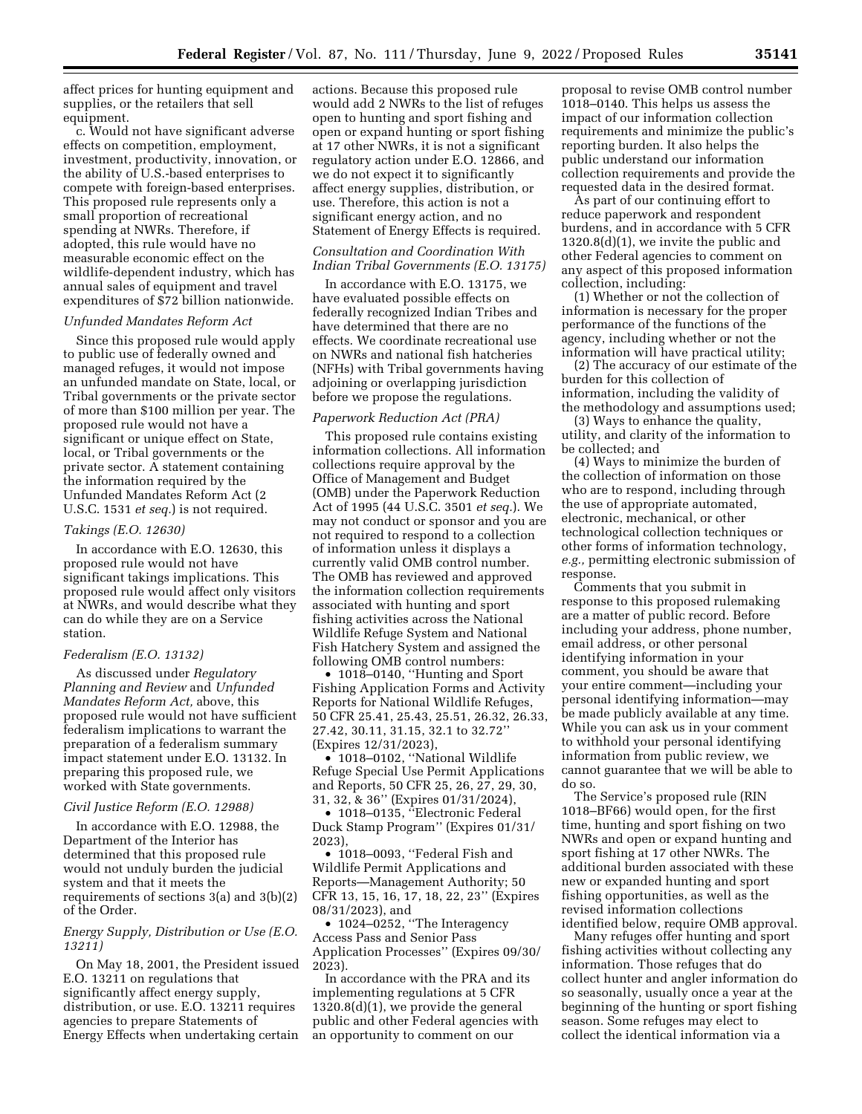affect prices for hunting equipment and supplies, or the retailers that sell equipment.

c. Would not have significant adverse effects on competition, employment, investment, productivity, innovation, or the ability of U.S.-based enterprises to compete with foreign-based enterprises. This proposed rule represents only a small proportion of recreational spending at NWRs. Therefore, if adopted, this rule would have no measurable economic effect on the wildlife-dependent industry, which has annual sales of equipment and travel expenditures of \$72 billion nationwide.

# *Unfunded Mandates Reform Act*

Since this proposed rule would apply to public use of federally owned and managed refuges, it would not impose an unfunded mandate on State, local, or Tribal governments or the private sector of more than \$100 million per year. The proposed rule would not have a significant or unique effect on State, local, or Tribal governments or the private sector. A statement containing the information required by the Unfunded Mandates Reform Act (2 U.S.C. 1531 *et seq.*) is not required.

#### *Takings (E.O. 12630)*

In accordance with E.O. 12630, this proposed rule would not have significant takings implications. This proposed rule would affect only visitors at NWRs, and would describe what they can do while they are on a Service station.

#### *Federalism (E.O. 13132)*

As discussed under *Regulatory Planning and Review* and *Unfunded Mandates Reform Act,* above, this proposed rule would not have sufficient federalism implications to warrant the preparation of a federalism summary impact statement under E.O. 13132. In preparing this proposed rule, we worked with State governments.

#### *Civil Justice Reform (E.O. 12988)*

In accordance with E.O. 12988, the Department of the Interior has determined that this proposed rule would not unduly burden the judicial system and that it meets the requirements of sections 3(a) and 3(b)(2) of the Order.

# *Energy Supply, Distribution or Use (E.O. 13211)*

On May 18, 2001, the President issued E.O. 13211 on regulations that significantly affect energy supply, distribution, or use. E.O. 13211 requires agencies to prepare Statements of Energy Effects when undertaking certain

actions. Because this proposed rule would add 2 NWRs to the list of refuges open to hunting and sport fishing and open or expand hunting or sport fishing at 17 other NWRs, it is not a significant regulatory action under E.O. 12866, and we do not expect it to significantly affect energy supplies, distribution, or use. Therefore, this action is not a significant energy action, and no Statement of Energy Effects is required.

# *Consultation and Coordination With Indian Tribal Governments (E.O. 13175)*

In accordance with E.O. 13175, we have evaluated possible effects on federally recognized Indian Tribes and have determined that there are no effects. We coordinate recreational use on NWRs and national fish hatcheries (NFHs) with Tribal governments having adjoining or overlapping jurisdiction before we propose the regulations.

#### *Paperwork Reduction Act (PRA)*

This proposed rule contains existing information collections. All information collections require approval by the Office of Management and Budget (OMB) under the Paperwork Reduction Act of 1995 (44 U.S.C. 3501 *et seq.*). We may not conduct or sponsor and you are not required to respond to a collection of information unless it displays a currently valid OMB control number. The OMB has reviewed and approved the information collection requirements associated with hunting and sport fishing activities across the National Wildlife Refuge System and National Fish Hatchery System and assigned the following OMB control numbers:

• 1018–0140, ''Hunting and Sport Fishing Application Forms and Activity Reports for National Wildlife Refuges, 50 CFR 25.41, 25.43, 25.51, 26.32, 26.33, 27.42, 30.11, 31.15, 32.1 to 32.72'' (Expires 12/31/2023),

• 1018–0102, ''National Wildlife Refuge Special Use Permit Applications and Reports, 50 CFR 25, 26, 27, 29, 30, 31, 32, & 36'' (Expires 01/31/2024),

• 1018–0135, "Electronic Federal Duck Stamp Program'' (Expires 01/31/ 2023),

• 1018–0093, ''Federal Fish and Wildlife Permit Applications and Reports—Management Authority; 50 CFR 13, 15, 16, 17, 18, 22, 23'' (Expires 08/31/2023), and

• 1024–0252, ''The Interagency Access Pass and Senior Pass Application Processes'' (Expires 09/30/ 2023).

In accordance with the PRA and its implementing regulations at 5 CFR 1320.8(d)(1), we provide the general public and other Federal agencies with an opportunity to comment on our

proposal to revise OMB control number 1018–0140. This helps us assess the impact of our information collection requirements and minimize the public's reporting burden. It also helps the public understand our information collection requirements and provide the requested data in the desired format.

As part of our continuing effort to reduce paperwork and respondent burdens, and in accordance with 5 CFR 1320.8(d)(1), we invite the public and other Federal agencies to comment on any aspect of this proposed information collection, including:

(1) Whether or not the collection of information is necessary for the proper performance of the functions of the agency, including whether or not the information will have practical utility;

(2) The accuracy of our estimate of the burden for this collection of information, including the validity of the methodology and assumptions used;

(3) Ways to enhance the quality, utility, and clarity of the information to be collected; and

(4) Ways to minimize the burden of the collection of information on those who are to respond, including through the use of appropriate automated, electronic, mechanical, or other technological collection techniques or other forms of information technology, *e.g.,* permitting electronic submission of response.

Comments that you submit in response to this proposed rulemaking are a matter of public record. Before including your address, phone number, email address, or other personal identifying information in your comment, you should be aware that your entire comment—including your personal identifying information—may be made publicly available at any time. While you can ask us in your comment to withhold your personal identifying information from public review, we cannot guarantee that we will be able to do so.

The Service's proposed rule (RIN 1018–BF66) would open, for the first time, hunting and sport fishing on two NWRs and open or expand hunting and sport fishing at 17 other NWRs. The additional burden associated with these new or expanded hunting and sport fishing opportunities, as well as the revised information collections identified below, require OMB approval.

Many refuges offer hunting and sport fishing activities without collecting any information. Those refuges that do collect hunter and angler information do so seasonally, usually once a year at the beginning of the hunting or sport fishing season. Some refuges may elect to collect the identical information via a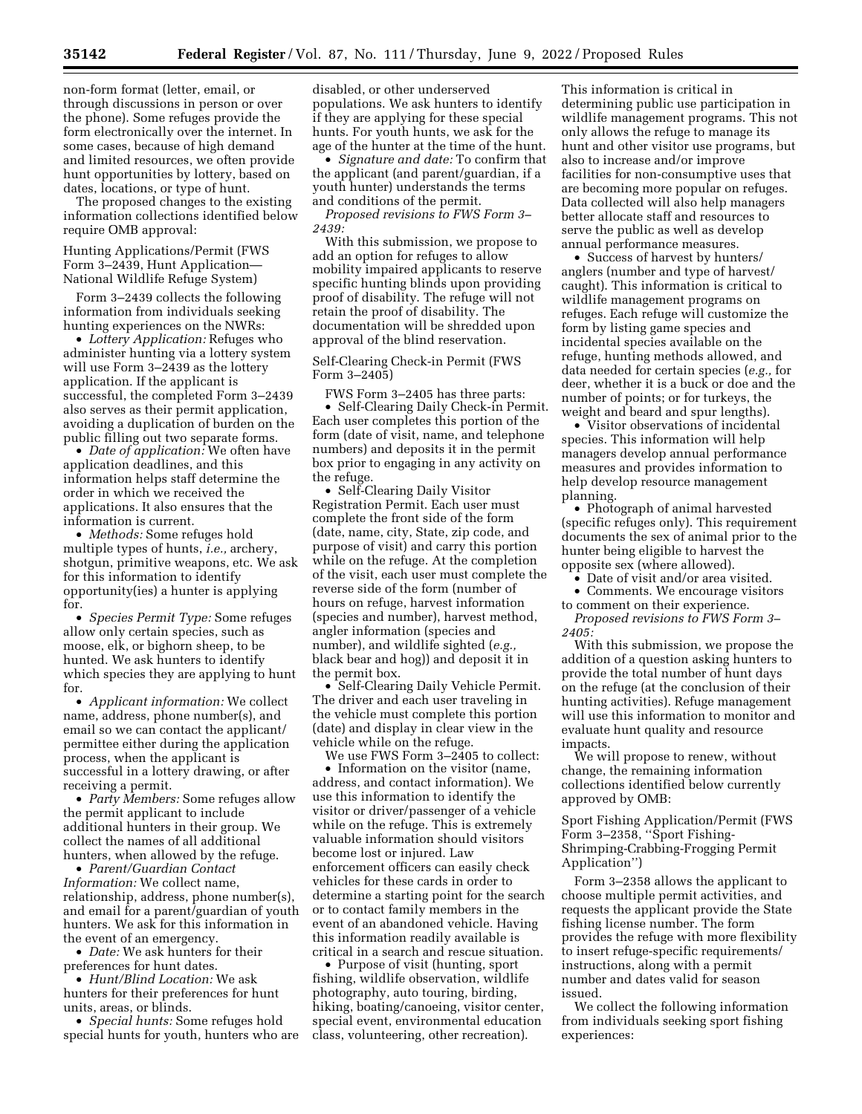non-form format (letter, email, or through discussions in person or over the phone). Some refuges provide the form electronically over the internet. In some cases, because of high demand and limited resources, we often provide hunt opportunities by lottery, based on dates, locations, or type of hunt.

The proposed changes to the existing information collections identified below require OMB approval:

Hunting Applications/Permit (FWS Form 3–2439, Hunt Application— National Wildlife Refuge System)

Form 3–2439 collects the following information from individuals seeking hunting experiences on the NWRs:

• *Lottery Application:* Refuges who administer hunting via a lottery system will use Form 3–2439 as the lottery application. If the applicant is successful, the completed Form 3–2439 also serves as their permit application, avoiding a duplication of burden on the public filling out two separate forms.

• *Date of application:* We often have application deadlines, and this information helps staff determine the order in which we received the applications. It also ensures that the information is current.

• *Methods:* Some refuges hold multiple types of hunts, *i.e.,* archery, shotgun, primitive weapons, etc. We ask for this information to identify opportunity(ies) a hunter is applying for.

• *Species Permit Type:* Some refuges allow only certain species, such as moose, elk, or bighorn sheep, to be hunted. We ask hunters to identify which species they are applying to hunt for.

• *Applicant information:* We collect name, address, phone number(s), and email so we can contact the applicant/ permittee either during the application process, when the applicant is successful in a lottery drawing, or after receiving a permit.

• *Party Members:* Some refuges allow the permit applicant to include additional hunters in their group. We collect the names of all additional hunters, when allowed by the refuge.

• *Parent/Guardian Contact Information:* We collect name, relationship, address, phone number(s), and email for a parent/guardian of youth hunters. We ask for this information in the event of an emergency.

• *Date:* We ask hunters for their preferences for hunt dates.

• *Hunt/Blind Location:* We ask hunters for their preferences for hunt units, areas, or blinds.

• *Special hunts:* Some refuges hold special hunts for youth, hunters who are

disabled, or other underserved populations. We ask hunters to identify if they are applying for these special hunts. For youth hunts, we ask for the age of the hunter at the time of the hunt.

• *Signature and date:* To confirm that the applicant (and parent/guardian, if a youth hunter) understands the terms and conditions of the permit.

*Proposed revisions to FWS Form 3– 2439:* 

With this submission, we propose to add an option for refuges to allow mobility impaired applicants to reserve specific hunting blinds upon providing proof of disability. The refuge will not retain the proof of disability. The documentation will be shredded upon approval of the blind reservation.

# Self-Clearing Check-in Permit (FWS Form 3–2405)

FWS Form 3–2405 has three parts: • Self-Clearing Daily Check-in Permit. Each user completes this portion of the form (date of visit, name, and telephone numbers) and deposits it in the permit box prior to engaging in any activity on the refuge.

• Self-Clearing Daily Visitor Registration Permit. Each user must complete the front side of the form (date, name, city, State, zip code, and purpose of visit) and carry this portion while on the refuge. At the completion of the visit, each user must complete the reverse side of the form (number of hours on refuge, harvest information (species and number), harvest method, angler information (species and number), and wildlife sighted (*e.g.,*  black bear and hog)) and deposit it in the permit box.

• Self-Clearing Daily Vehicle Permit. The driver and each user traveling in the vehicle must complete this portion (date) and display in clear view in the vehicle while on the refuge.

We use FWS Form 3–2405 to collect: • Information on the visitor (name, address, and contact information). We use this information to identify the visitor or driver/passenger of a vehicle while on the refuge. This is extremely valuable information should visitors become lost or injured. Law enforcement officers can easily check vehicles for these cards in order to determine a starting point for the search or to contact family members in the event of an abandoned vehicle. Having this information readily available is critical in a search and rescue situation.

• Purpose of visit (hunting, sport fishing, wildlife observation, wildlife photography, auto touring, birding, hiking, boating/canoeing, visitor center, special event, environmental education class, volunteering, other recreation).

This information is critical in determining public use participation in wildlife management programs. This not only allows the refuge to manage its hunt and other visitor use programs, but also to increase and/or improve facilities for non-consumptive uses that are becoming more popular on refuges. Data collected will also help managers better allocate staff and resources to serve the public as well as develop annual performance measures.

• Success of harvest by hunters/ anglers (number and type of harvest/ caught). This information is critical to wildlife management programs on refuges. Each refuge will customize the form by listing game species and incidental species available on the refuge, hunting methods allowed, and data needed for certain species (*e.g.,* for deer, whether it is a buck or doe and the number of points; or for turkeys, the weight and beard and spur lengths).

• Visitor observations of incidental species. This information will help managers develop annual performance measures and provides information to help develop resource management planning.

• Photograph of animal harvested (specific refuges only). This requirement documents the sex of animal prior to the hunter being eligible to harvest the opposite sex (where allowed).

• Date of visit and/or area visited.

• Comments. We encourage visitors

to comment on their experience. *Proposed revisions to FWS Form 3– 2405:* 

With this submission, we propose the addition of a question asking hunters to provide the total number of hunt days on the refuge (at the conclusion of their hunting activities). Refuge management will use this information to monitor and evaluate hunt quality and resource impacts.

We will propose to renew, without change, the remaining information collections identified below currently approved by OMB:

Sport Fishing Application/Permit (FWS Form 3-2358, "Sport Fishing-Shrimping-Crabbing-Frogging Permit Application'')

Form 3–2358 allows the applicant to choose multiple permit activities, and requests the applicant provide the State fishing license number. The form provides the refuge with more flexibility to insert refuge-specific requirements/ instructions, along with a permit number and dates valid for season issued.

We collect the following information from individuals seeking sport fishing experiences: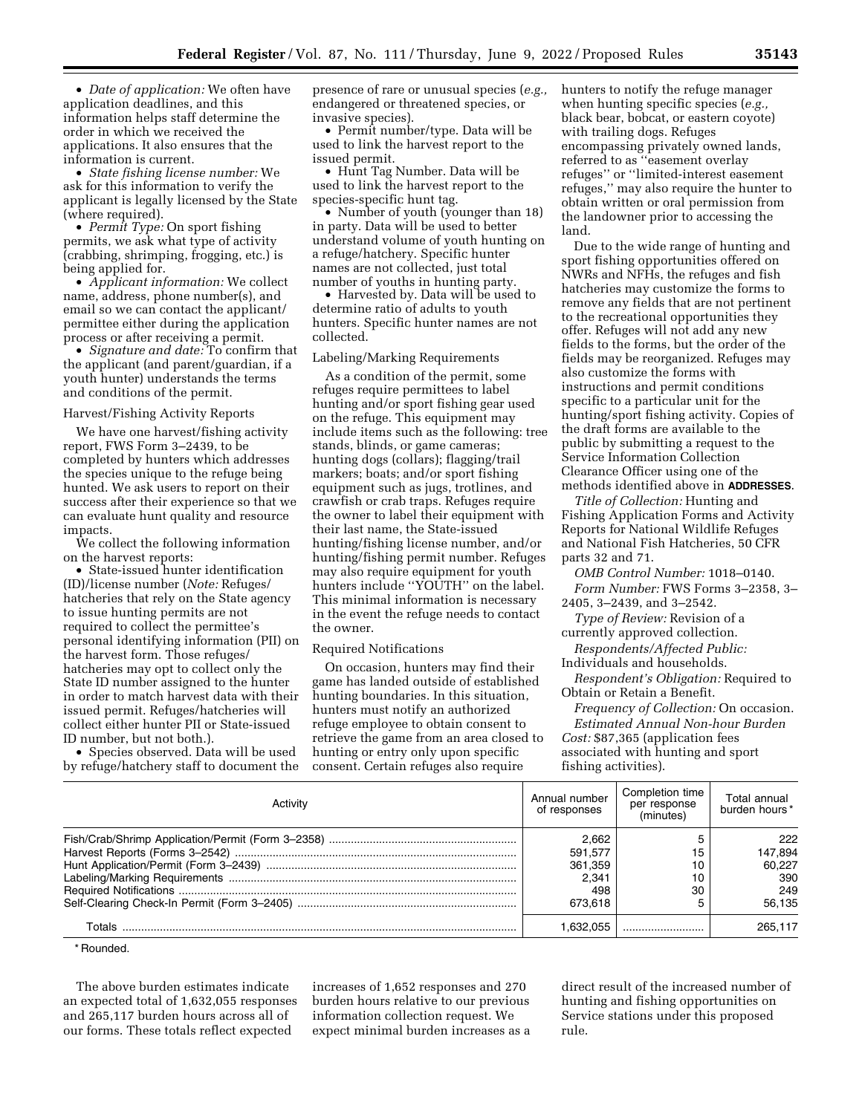• *Date of application:* We often have application deadlines, and this information helps staff determine the order in which we received the applications. It also ensures that the information is current.

• *State fishing license number:* We ask for this information to verify the applicant is legally licensed by the State (where required).

• *Permit Type:* On sport fishing permits, we ask what type of activity (crabbing, shrimping, frogging, etc.) is being applied for.

• *Applicant information:* We collect name, address, phone number(s), and email so we can contact the applicant/ permittee either during the application process or after receiving a permit.

• *Signature and date:* To confirm that the applicant (and parent/guardian, if a youth hunter) understands the terms and conditions of the permit.

#### Harvest/Fishing Activity Reports

We have one harvest/fishing activity report, FWS Form 3–2439, to be completed by hunters which addresses the species unique to the refuge being hunted. We ask users to report on their success after their experience so that we can evaluate hunt quality and resource impacts.

We collect the following information on the harvest reports:

• State-issued hunter identification (ID)/license number (*Note:* Refuges/ hatcheries that rely on the State agency to issue hunting permits are not required to collect the permittee's personal identifying information (PII) on the harvest form. Those refuges/ hatcheries may opt to collect only the State ID number assigned to the hunter in order to match harvest data with their issued permit. Refuges/hatcheries will collect either hunter PII or State-issued ID number, but not both.).

• Species observed. Data will be used by refuge/hatchery staff to document the presence of rare or unusual species (*e.g.,*  endangered or threatened species, or invasive species).

• Permit number/type. Data will be used to link the harvest report to the issued permit.

• Hunt Tag Number. Data will be used to link the harvest report to the species-specific hunt tag.

• Number of youth (younger than 18) in party. Data will be used to better understand volume of youth hunting on a refuge/hatchery. Specific hunter names are not collected, just total number of youths in hunting party.

• Harvested by. Data will be used to determine ratio of adults to youth hunters. Specific hunter names are not collected.

### Labeling/Marking Requirements

As a condition of the permit, some refuges require permittees to label hunting and/or sport fishing gear used on the refuge. This equipment may include items such as the following: tree stands, blinds, or game cameras; hunting dogs (collars); flagging/trail markers; boats; and/or sport fishing equipment such as jugs, trotlines, and crawfish or crab traps. Refuges require the owner to label their equipment with their last name, the State-issued hunting/fishing license number, and/or hunting/fishing permit number. Refuges may also require equipment for youth hunters include "YOUTH" on the label. This minimal information is necessary in the event the refuge needs to contact the owner.

#### Required Notifications

On occasion, hunters may find their game has landed outside of established hunting boundaries. In this situation, hunters must notify an authorized refuge employee to obtain consent to retrieve the game from an area closed to hunting or entry only upon specific consent. Certain refuges also require

hunters to notify the refuge manager when hunting specific species (*e.g.,*  black bear, bobcat, or eastern coyote) with trailing dogs. Refuges encompassing privately owned lands, referred to as ''easement overlay refuges'' or ''limited-interest easement refuges,'' may also require the hunter to obtain written or oral permission from the landowner prior to accessing the land.

Due to the wide range of hunting and sport fishing opportunities offered on NWRs and NFHs, the refuges and fish hatcheries may customize the forms to remove any fields that are not pertinent to the recreational opportunities they offer. Refuges will not add any new fields to the forms, but the order of the fields may be reorganized. Refuges may also customize the forms with instructions and permit conditions specific to a particular unit for the hunting/sport fishing activity. Copies of the draft forms are available to the public by submitting a request to the Service Information Collection Clearance Officer using one of the methods identified above in **ADDRESSES**.

*Title of Collection:* Hunting and Fishing Application Forms and Activity Reports for National Wildlife Refuges and National Fish Hatcheries, 50 CFR parts 32 and 71.

*OMB Control Number:* 1018–0140. *Form Number:* FWS Forms 3–2358, 3– 2405, 3–2439, and 3–2542.

*Type of Review:* Revision of a currently approved collection.

*Respondents/Affected Public:*  Individuals and households.

*Respondent's Obligation:* Required to Obtain or Retain a Benefit.

*Frequency of Collection:* On occasion. *Estimated Annual Non-hour Burden Cost:* \$87,365 (application fees associated with hunting and sport fishing activities).

| Activity | Annual number<br>of responses | Completion time<br>per response<br>(minutes) | Total annual<br>burden hours* |
|----------|-------------------------------|----------------------------------------------|-------------------------------|
|          | 2.662                         |                                              | 222                           |
|          | 591.577                       | 15                                           | 147,894                       |
|          | 361,359                       | 10                                           | 60.227                        |
|          | 2.341                         | 10                                           | 390                           |
|          | 498                           | 30                                           | 249                           |
|          | 673.618                       |                                              | 56.135                        |
| Totals   | .632.055                      |                                              | 265.117                       |

\* Rounded.

The above burden estimates indicate an expected total of 1,632,055 responses and 265,117 burden hours across all of our forms. These totals reflect expected

increases of 1,652 responses and 270 burden hours relative to our previous information collection request. We expect minimal burden increases as a

direct result of the increased number of hunting and fishing opportunities on Service stations under this proposed rule.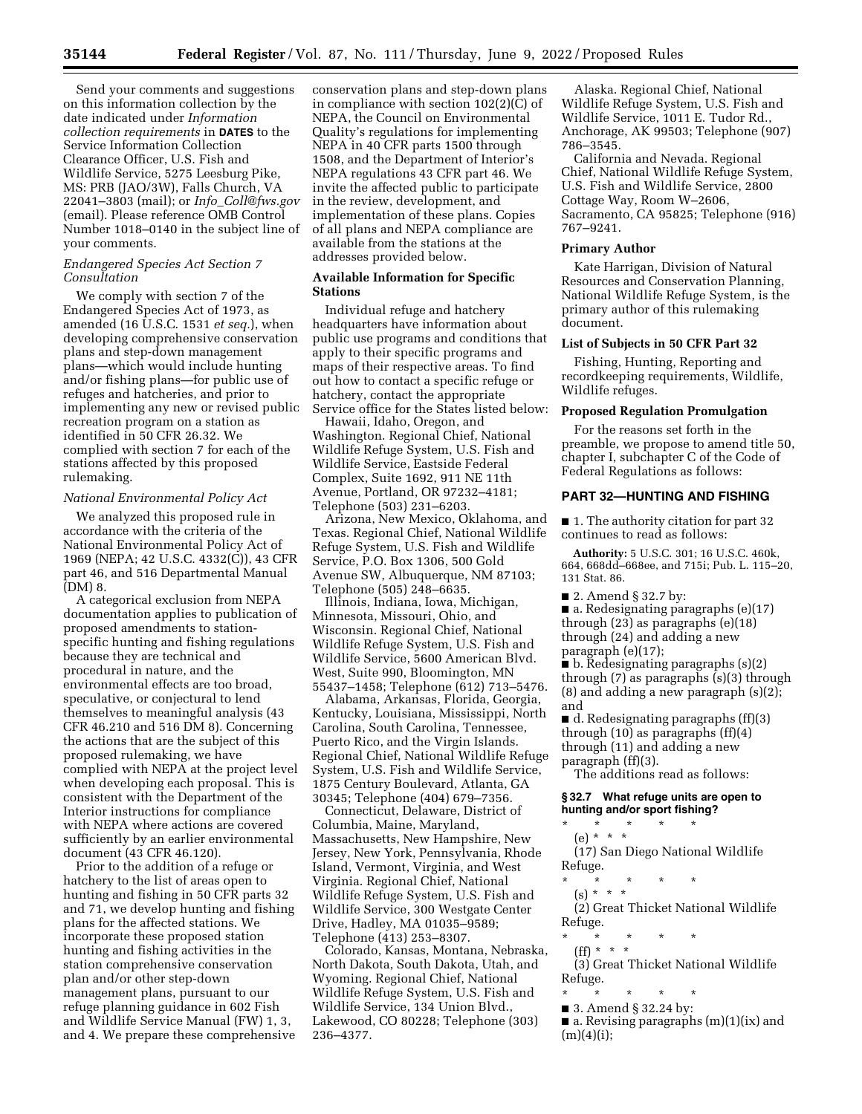Send your comments and suggestions on this information collection by the date indicated under *Information collection requirements* in **DATES** to the Service Information Collection Clearance Officer, U.S. Fish and Wildlife Service, 5275 Leesburg Pike, MS: PRB (JAO/3W), Falls Church, VA 22041–3803 (mail); or *Info*\_*[Coll@fws.gov](mailto:Info_Coll@fws.gov)*  (email). Please reference OMB Control Number 1018–0140 in the subject line of your comments.

### *Endangered Species Act Section 7 Consultation*

We comply with section 7 of the Endangered Species Act of 1973, as amended (16 U.S.C. 1531 *et seq.*), when developing comprehensive conservation plans and step-down management plans—which would include hunting and/or fishing plans—for public use of refuges and hatcheries, and prior to implementing any new or revised public recreation program on a station as identified in 50 CFR 26.32. We complied with section 7 for each of the stations affected by this proposed rulemaking.

#### *National Environmental Policy Act*

We analyzed this proposed rule in accordance with the criteria of the National Environmental Policy Act of 1969 (NEPA; 42 U.S.C. 4332(C)), 43 CFR part 46, and 516 Departmental Manual (DM) 8.

A categorical exclusion from NEPA documentation applies to publication of proposed amendments to stationspecific hunting and fishing regulations because they are technical and procedural in nature, and the environmental effects are too broad, speculative, or conjectural to lend themselves to meaningful analysis (43 CFR 46.210 and 516 DM 8). Concerning the actions that are the subject of this proposed rulemaking, we have complied with NEPA at the project level when developing each proposal. This is consistent with the Department of the Interior instructions for compliance with NEPA where actions are covered sufficiently by an earlier environmental document (43 CFR 46.120).

Prior to the addition of a refuge or hatchery to the list of areas open to hunting and fishing in 50 CFR parts 32 and 71, we develop hunting and fishing plans for the affected stations. We incorporate these proposed station hunting and fishing activities in the station comprehensive conservation plan and/or other step-down management plans, pursuant to our refuge planning guidance in 602 Fish and Wildlife Service Manual (FW) 1, 3, and 4. We prepare these comprehensive

conservation plans and step-down plans in compliance with section 102(2)(C) of NEPA, the Council on Environmental Quality's regulations for implementing NEPA in 40 CFR parts 1500 through 1508, and the Department of Interior's NEPA regulations 43 CFR part 46. We invite the affected public to participate in the review, development, and implementation of these plans. Copies of all plans and NEPA compliance are available from the stations at the addresses provided below.

# **Available Information for Specific Stations**

Individual refuge and hatchery headquarters have information about public use programs and conditions that apply to their specific programs and maps of their respective areas. To find out how to contact a specific refuge or hatchery, contact the appropriate Service office for the States listed below:

Hawaii, Idaho, Oregon, and Washington. Regional Chief, National Wildlife Refuge System, U.S. Fish and Wildlife Service, Eastside Federal Complex, Suite 1692, 911 NE 11th Avenue, Portland, OR 97232–4181; Telephone (503) 231–6203.

Arizona, New Mexico, Oklahoma, and Texas. Regional Chief, National Wildlife Refuge System, U.S. Fish and Wildlife Service, P.O. Box 1306, 500 Gold Avenue SW, Albuquerque, NM 87103; Telephone (505) 248–6635.

Illinois, Indiana, Iowa, Michigan, Minnesota, Missouri, Ohio, and Wisconsin. Regional Chief, National Wildlife Refuge System, U.S. Fish and Wildlife Service, 5600 American Blvd. West, Suite 990, Bloomington, MN 55437–1458; Telephone (612) 713–5476.

Alabama, Arkansas, Florida, Georgia, Kentucky, Louisiana, Mississippi, North Carolina, South Carolina, Tennessee, Puerto Rico, and the Virgin Islands. Regional Chief, National Wildlife Refuge System, U.S. Fish and Wildlife Service, 1875 Century Boulevard, Atlanta, GA 30345; Telephone (404) 679–7356.

Connecticut, Delaware, District of Columbia, Maine, Maryland, Massachusetts, New Hampshire, New Jersey, New York, Pennsylvania, Rhode Island, Vermont, Virginia, and West Virginia. Regional Chief, National Wildlife Refuge System, U.S. Fish and Wildlife Service, 300 Westgate Center Drive, Hadley, MA 01035–9589; Telephone (413) 253–8307.

Colorado, Kansas, Montana, Nebraska, North Dakota, South Dakota, Utah, and Wyoming. Regional Chief, National Wildlife Refuge System, U.S. Fish and Wildlife Service, 134 Union Blvd., Lakewood, CO 80228; Telephone (303) 236–4377.

Alaska. Regional Chief, National Wildlife Refuge System, U.S. Fish and Wildlife Service, 1011 E. Tudor Rd., Anchorage, AK 99503; Telephone (907) 786–3545.

California and Nevada. Regional Chief, National Wildlife Refuge System, U.S. Fish and Wildlife Service, 2800 Cottage Way, Room W–2606, Sacramento, CA 95825; Telephone (916) 767–9241.

# **Primary Author**

Kate Harrigan, Division of Natural Resources and Conservation Planning, National Wildlife Refuge System, is the primary author of this rulemaking document.

#### **List of Subjects in 50 CFR Part 32**

Fishing, Hunting, Reporting and recordkeeping requirements, Wildlife, Wildlife refuges.

## **Proposed Regulation Promulgation**

For the reasons set forth in the preamble, we propose to amend title 50, chapter I, subchapter C of the Code of Federal Regulations as follows:

#### **PART 32—HUNTING AND FISHING**

■ 1. The authority citation for part 32 continues to read as follows:

**Authority:** 5 U.S.C. 301; 16 U.S.C. 460k, 664, 668dd–668ee, and 715i; Pub. L. 115–20, 131 Stat. 86.

■ 2. Amend § 32.7 by:

 $\blacksquare$  a. Redesignating paragraphs (e)(17) through (23) as paragraphs (e)(18) through (24) and adding a new paragraph (e)(17);

 $\bullet$  b. Redesignating paragraphs (s)(2) through (7) as paragraphs (s)(3) through (8) and adding a new paragraph (s)(2); and

■ d. Redesignating paragraphs (ff)(3) through (10) as paragraphs (ff)(4) through (11) and adding a new paragraph (ff)(3).

The additions read as follows:

**§ 32.7 What refuge units are open to hunting and/or sport fishing?** 

\* \* \* \* \* (e) \* \* \*

(17) San Diego National Wildlife Refuge.

- \* \* \* \* \*
- $(s) * * * *$

(2) Great Thicket National Wildlife Refuge.

- \* \* \* \* \*
- (ff) \* \* \*

(3) Great Thicket National Wildlife Refuge.

- \* \* \* \* \* ■ 3. Amend § 32.24 by:
- a. Revising paragraphs (m)(1)(ix) and  $(m)(4)(i);$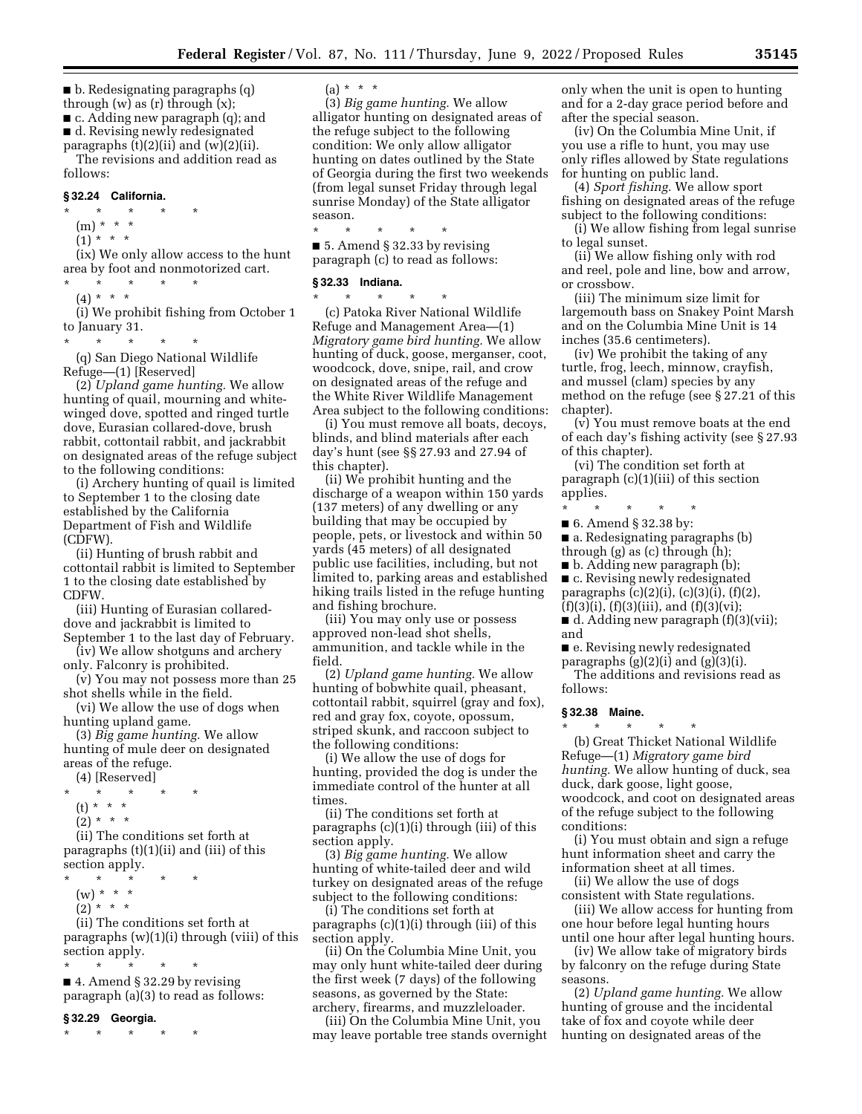■ b. Redesignating paragraphs (q) through  $(w)$  as  $(r)$  through  $(x)$ ;

■ c. Adding new paragraph (q); and ■ d. Revising newly redesignated

paragraphs (t)(2)(ii) and (w)(2)(ii). The revisions and addition read as follows:

#### **§ 32.24 California.**

\* \* \* \* \* (m) \* \* \*  $(1)^{x}$  \* \* (ix) We only allow access to the hunt

area by foot and nonmotorized cart. \* \* \* \* \*

(4) \* \* \*

(i) We prohibit fishing from October 1 to January 31.

\* \* \* \* \* (q) San Diego National Wildlife Refuge—(1) [Reserved]

(2) *Upland game hunting.* We allow hunting of quail, mourning and whitewinged dove, spotted and ringed turtle dove, Eurasian collared-dove, brush rabbit, cottontail rabbit, and jackrabbit on designated areas of the refuge subject to the following conditions:

(i) Archery hunting of quail is limited to September 1 to the closing date established by the California Department of Fish and Wildlife (CDFW).

(ii) Hunting of brush rabbit and cottontail rabbit is limited to September 1 to the closing date established by CDFW.

(iii) Hunting of Eurasian collareddove and jackrabbit is limited to September 1 to the last day of February.

(iv) We allow shotguns and archery

only. Falconry is prohibited. (v) You may not possess more than 25

shot shells while in the field. (vi) We allow the use of dogs when

hunting upland game. (3) *Big game hunting.* We allow

hunting of mule deer on designated areas of the refuge.

(4) [Reserved]

- $\star$   $\star$
- (t) \* \* \*
- $(2) * * * *$

(ii) The conditions set forth at paragraphs (t)(1)(ii) and (iii) of this section apply.

- \* \* \* \* \*
- $(w) * * * *$
- $(2) * * * *$

(ii) The conditions set forth at paragraphs (w)(1)(i) through (viii) of this section apply.

\* \* \* \* \* ■ 4. Amend § 32.29 by revising paragraph (a)(3) to read as follows:

#### **§ 32.29 Georgia.**

\* \* \* \* \*

 $(a) * * * *$ 

(3) *Big game hunting.* We allow alligator hunting on designated areas of the refuge subject to the following condition: We only allow alligator hunting on dates outlined by the State of Georgia during the first two weekends (from legal sunset Friday through legal sunrise Monday) of the State alligator season.

\* \* \* \* \* ■ 5. Amend § 32.33 by revising paragraph (c) to read as follows:

#### **§ 32.33 Indiana.**

\* \* \* \* \* (c) Patoka River National Wildlife Refuge and Management Area—(1) *Migratory game bird hunting.* We allow hunting of duck, goose, merganser, coot, woodcock, dove, snipe, rail, and crow on designated areas of the refuge and the White River Wildlife Management Area subject to the following conditions:

(i) You must remove all boats, decoys, blinds, and blind materials after each day's hunt (see §§ 27.93 and 27.94 of this chapter).

(ii) We prohibit hunting and the discharge of a weapon within 150 yards (137 meters) of any dwelling or any building that may be occupied by people, pets, or livestock and within 50 yards (45 meters) of all designated public use facilities, including, but not limited to, parking areas and established hiking trails listed in the refuge hunting and fishing brochure.

(iii) You may only use or possess approved non-lead shot shells, ammunition, and tackle while in the field.

(2) *Upland game hunting.* We allow hunting of bobwhite quail, pheasant, cottontail rabbit, squirrel (gray and fox), red and gray fox, coyote, opossum, striped skunk, and raccoon subject to the following conditions:

(i) We allow the use of dogs for hunting, provided the dog is under the immediate control of the hunter at all times.

(ii) The conditions set forth at paragraphs (c)(1)(i) through (iii) of this section apply.

(3) *Big game hunting.* We allow hunting of white-tailed deer and wild turkey on designated areas of the refuge subject to the following conditions:

(i) The conditions set forth at paragraphs (c)(1)(i) through (iii) of this section apply.

(ii) On the Columbia Mine Unit, you may only hunt white-tailed deer during the first week (7 days) of the following seasons, as governed by the State: archery, firearms, and muzzleloader.

(iii) On the Columbia Mine Unit, you may leave portable tree stands overnight

only when the unit is open to hunting and for a 2-day grace period before and after the special season.

(iv) On the Columbia Mine Unit, if you use a rifle to hunt, you may use only rifles allowed by State regulations for hunting on public land.

(4) *Sport fishing.* We allow sport fishing on designated areas of the refuge subject to the following conditions:

(i) We allow fishing from legal sunrise to legal sunset.

(ii) We allow fishing only with rod and reel, pole and line, bow and arrow, or crossbow.

(iii) The minimum size limit for largemouth bass on Snakey Point Marsh and on the Columbia Mine Unit is 14 inches (35.6 centimeters).

(iv) We prohibit the taking of any turtle, frog, leech, minnow, crayfish, and mussel (clam) species by any method on the refuge (see § 27.21 of this chapter).

(v) You must remove boats at the end of each day's fishing activity (see § 27.93 of this chapter).

(vi) The condition set forth at paragraph (c)(1)(iii) of this section applies.

- \* \* \* \* \*
- 6. Amend § 32.38 by:
- a. Redesignating paragraphs (b)
- through (g) as (c) through (h);
- b. Adding new paragraph (b); ■ c. Revising newly redesignated
- paragraphs (c)(2)(i), (c)(3)(i), (f)(2),
- $(f)(3)(i)$ ,  $(f)(3)(iii)$ , and  $(f)(3)(vi)$ ;
- d. Adding new paragraph (f)(3)(vii); and

■ e. Revising newly redesignated paragraphs  $(g)(2)(i)$  and  $(g)(3)(i)$ .

\* \* \* \* \*

The additions and revisions read as follows:

# **§ 32.38 Maine.**

(b) Great Thicket National Wildlife Refuge—(1) *Migratory game bird hunting.* We allow hunting of duck, sea duck, dark goose, light goose, woodcock, and coot on designated areas of the refuge subject to the following conditions:

(i) You must obtain and sign a refuge hunt information sheet and carry the information sheet at all times.

(ii) We allow the use of dogs consistent with State regulations.

(iii) We allow access for hunting from one hour before legal hunting hours

until one hour after legal hunting hours. (iv) We allow take of migratory birds by falconry on the refuge during State seasons.

(2) *Upland game hunting.* We allow hunting of grouse and the incidental take of fox and coyote while deer hunting on designated areas of the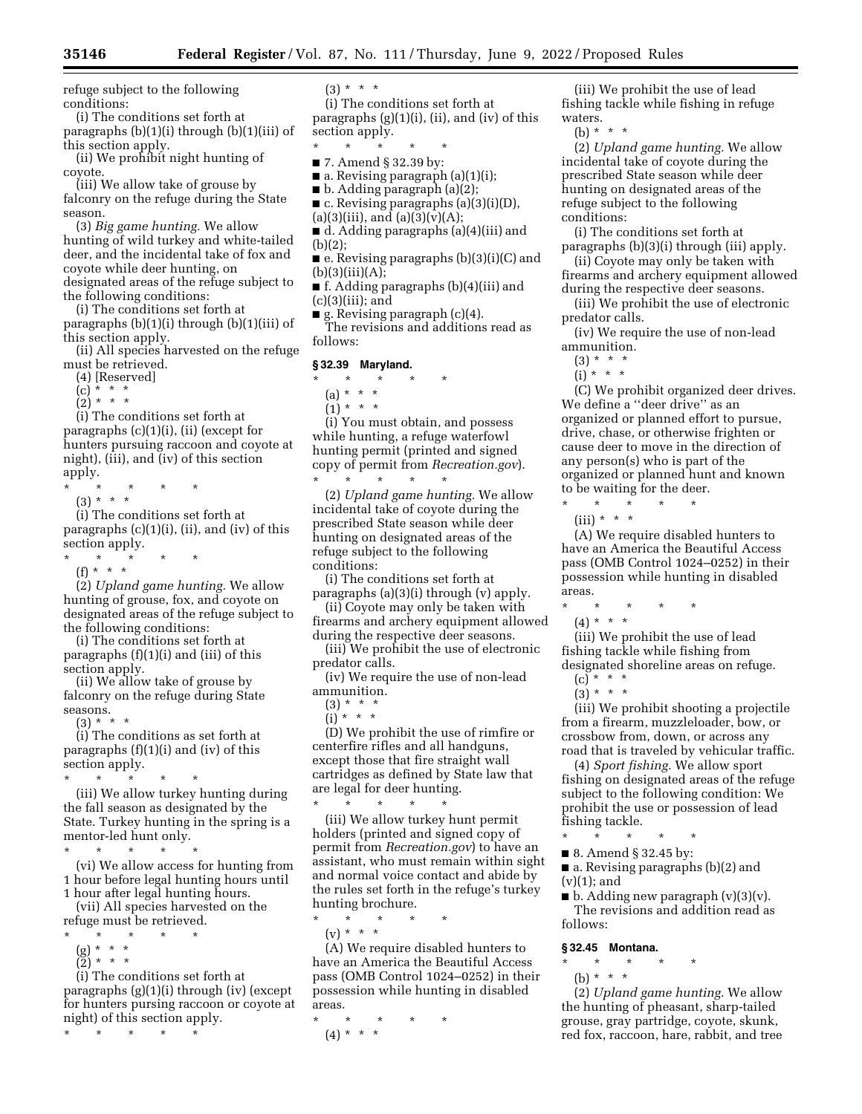refuge subject to the following conditions:

(i) The conditions set forth at paragraphs (b)(1)(i) through (b)(1)(iii) of this section apply.

(ii) We prohibit night hunting of coyote.

(iii) We allow take of grouse by falconry on the refuge during the State season.

(3) *Big game hunting.* We allow hunting of wild turkey and white-tailed deer, and the incidental take of fox and coyote while deer hunting, on designated areas of the refuge subject to the following conditions:

(i) The conditions set forth at paragraphs (b)(1)(i) through (b)(1)(iii) of this section apply.

(ii) All species harvested on the refuge must be retrieved.

- (4) [Reserved]
- $(c) * * * *$
- $(2) * * * *$

(i) The conditions set forth at paragraphs  $(c)(1)(i)$ ,  $(ii)$  (except for hunters pursuing raccoon and coyote at night), (iii), and (iv) of this section apply.

- \* \* \* \* \*
- (3) \* \* \*

(i) The conditions set forth at paragraphs (c)(1)(i), (ii), and (iv) of this section apply.

\* \* \* \* \*

 $(f) * * * *$ 

(2) *Upland game hunting.* We allow hunting of grouse, fox, and coyote on designated areas of the refuge subject to the following conditions:

(i) The conditions set forth at paragraphs (f)(1)(i) and (iii) of this section apply.

(ii) We allow take of grouse by falconry on the refuge during State seasons.

(3) \* \* \*

(i) The conditions as set forth at paragraphs  $(f)(1)(i)$  and  $(iv)$  of this section apply.

\* \* \* \* \* (iii) We allow turkey hunting during the fall season as designated by the State. Turkey hunting in the spring is a mentor-led hunt only.

\* \* \* \* \* (vi) We allow access for hunting from 1 hour before legal hunting hours until

1 hour after legal hunting hours. (vii) All species harvested on the refuge must be retrieved.

- $\star$   $\star$
- 
- (g) \* \* \* (2) \* \* \*
- (i) The conditions set forth at

paragraphs (g)(1)(i) through (iv) (except for hunters pursing raccoon or coyote at night) of this section apply.

\* \* \* \* \*

 $(3) * * * *$ 

(i) The conditions set forth at paragraphs  $(g)(1)(i)$ ,  $(ii)$ , and  $(iv)$  of this section apply.

- \* \* \* \* \*
- 7. Amend § 32.39 by:
	- $\blacksquare$  a. Revising paragraph (a)(1)(i);
	- b. Adding paragraph (a)(2);
	- $\blacksquare$  c. Revising paragraphs (a)(3)(i)(D),
	- $(a)(3)(iii)$ , and  $(a)(3)(v)(A);$ ■ d. Adding paragraphs (a)(4)(iii) and (b)(2);
	- e. Revising paragraphs (b)(3)(i)(C) and
	- $(b)(3)(iii)(A);$ ■ f. Adding paragraphs (b)(4)(iii) and  $(c)(3)(iii);$  and
	- $\blacksquare$  g. Revising paragraph (c)(4).

The revisions and additions read as follows:

# **§ 32.39 Maryland.**

- \* \* \* \* \*
	- (a) \* \* \*
	- $(1) * * * *$

(i) You must obtain, and possess while hunting, a refuge waterfowl hunting permit (printed and signed copy of permit from *Recreation.gov*). \* \* \* \* \*

(2) *Upland game hunting.* We allow incidental take of coyote during the prescribed State season while deer hunting on designated areas of the refuge subject to the following conditions:

(i) The conditions set forth at paragraphs (a)(3)(i) through (v) apply.

(ii) Coyote may only be taken with firearms and archery equipment allowed during the respective deer seasons.

(iii) We prohibit the use of electronic predator calls.

(iv) We require the use of non-lead ammunition.

- $(3) * * * *$  $(i)$  \* \* \*
- 

(D) We prohibit the use of rimfire or centerfire rifles and all handguns, except those that fire straight wall cartridges as defined by State law that are legal for deer hunting. \* \* \* \* \*

(iii) We allow turkey hunt permit holders (printed and signed copy of permit from *Recreation.gov*) to have an assistant, who must remain within sight and normal voice contact and abide by the rules set forth in the refuge's turkey hunting brochure.

\* \* \* \* \*

(v) \* \* \*

(A) We require disabled hunters to have an America the Beautiful Access pass (OMB Control 1024–0252) in their possession while hunting in disabled areas.

\* \* \* \* \* (4) \* \* \*

(iii) We prohibit the use of lead fishing tackle while fishing in refuge waters.

(b) \* \* \*

(2) *Upland game hunting.* We allow incidental take of coyote during the prescribed State season while deer hunting on designated areas of the refuge subject to the following conditions:

(i) The conditions set forth at paragraphs (b)(3)(i) through (iii) apply.

(ii) Coyote may only be taken with firearms and archery equipment allowed during the respective deer seasons.

(iii) We prohibit the use of electronic predator calls.

(iv) We require the use of non-lead ammunition.

 $(3) * * * *$ 

 $(i) * * * *$ 

(C) We prohibit organized deer drives. We define a ''deer drive'' as an organized or planned effort to pursue, drive, chase, or otherwise frighten or cause deer to move in the direction of any person(s) who is part of the organized or planned hunt and known to be waiting for the deer.

\* \* \* \* \*  $(iii) * * * *$ 

(A) We require disabled hunters to have an America the Beautiful Access pass (OMB Control 1024–0252) in their possession while hunting in disabled areas.

\* \* \* \* \*

(4) \* \* \*

(iii) We prohibit the use of lead fishing tackle while fishing from designated shoreline areas on refuge.

- $(c) * * * *$
- $(3) * * * *$

(iii) We prohibit shooting a projectile from a firearm, muzzleloader, bow, or crossbow from, down, or across any road that is traveled by vehicular traffic.

(4) *Sport fishing.* We allow sport fishing on designated areas of the refuge subject to the following condition: We prohibit the use or possession of lead fishing tackle.

- \* \* \* \* \*
- 8. Amend § 32.45 by:

■ a. Revising paragraphs (b)(2) and  $(v)(1)$ ; and

 $\blacksquare$  b. Adding new paragraph  $(v)(3)(v)$ . The revisions and addition read as follows:

### **§ 32.45 Montana.**

- \* \* \* \* \*
	- (b) \* \* \*

(2) *Upland game hunting.* We allow the hunting of pheasant, sharp-tailed grouse, gray partridge, coyote, skunk, red fox, raccoon, hare, rabbit, and tree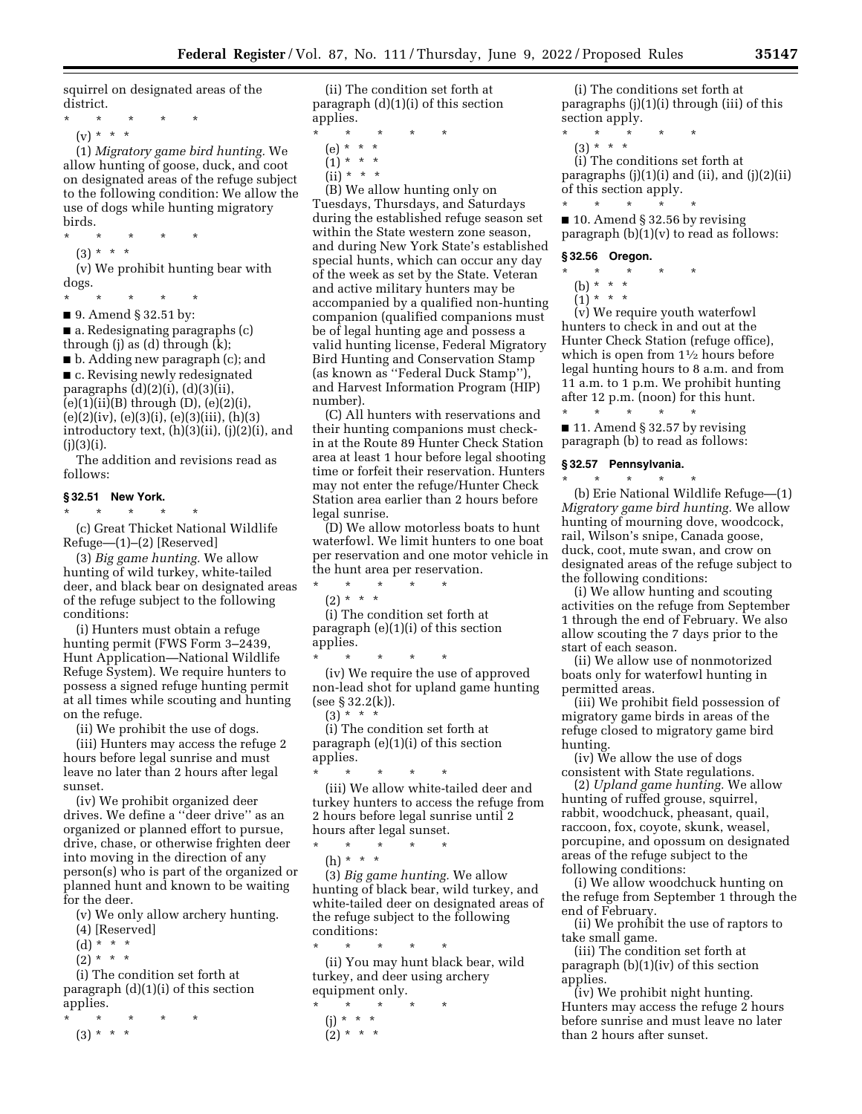squirrel on designated areas of the district.

- \* \* \* \* \*
- (v) \* \* \*

(1) *Migratory game bird hunting.* We allow hunting of goose, duck, and coot on designated areas of the refuge subject to the following condition: We allow the use of dogs while hunting migratory birds.

\* \* \* \* \* (3) \* \* \*

(v) We prohibit hunting bear with dogs.

\* \* \* \* \*

■ 9. Amend § 32.51 by:  $\blacksquare$  a. Redesignating paragraphs (c)

through (j) as (d) through (k);

■ b. Adding new paragraph (c); and ■ c. Revising newly redesignated paragraphs  $(d)(2)(i)$ ,  $(d)(3)(ii)$ ,  $(e)(1)(ii)(B)$  through  $(D)$ ,  $(e)(2)(i)$ , (e)(2)(iv), (e)(3)(i), (e)(3)(iii), (h)(3) introductory text, (h)(3)(ii), (j)(2)(i), and  $(i)(3)(i).$ 

The addition and revisions read as follows:

# **§ 32.51 New York.**

\* \* \* \* \*

(c) Great Thicket National Wildlife Refuge—(1)–(2) [Reserved]

(3) *Big game hunting.* We allow hunting of wild turkey, white-tailed deer, and black bear on designated areas of the refuge subject to the following conditions:

(i) Hunters must obtain a refuge hunting permit (FWS Form 3–2439, Hunt Application—National Wildlife Refuge System). We require hunters to possess a signed refuge hunting permit at all times while scouting and hunting on the refuge.

(ii) We prohibit the use of dogs.

(iii) Hunters may access the refuge 2 hours before legal sunrise and must leave no later than 2 hours after legal sunset.

(iv) We prohibit organized deer drives. We define a ''deer drive'' as an organized or planned effort to pursue, drive, chase, or otherwise frighten deer into moving in the direction of any person(s) who is part of the organized or planned hunt and known to be waiting for the deer.

(v) We only allow archery hunting.

- (4) [Reserved]
- (d) \* \* \*
- $(2) * * * *$

(i) The condition set forth at paragraph (d)(1)(i) of this section applies.

\* \* \* \* \*

(3) \* \* \*

(ii) The condition set forth at paragraph (d)(1)(i) of this section applies.

- \* \* \* \* \*
	- (e) \* \* \*  $(1) * * * *$
	- $(ii) * * * *$

(B) We allow hunting only on Tuesdays, Thursdays, and Saturdays during the established refuge season set within the State western zone season, and during New York State's established special hunts, which can occur any day of the week as set by the State. Veteran and active military hunters may be accompanied by a qualified non-hunting companion (qualified companions must be of legal hunting age and possess a valid hunting license, Federal Migratory Bird Hunting and Conservation Stamp (as known as ''Federal Duck Stamp''), and Harvest Information Program (HIP) number).

(C) All hunters with reservations and their hunting companions must checkin at the Route 89 Hunter Check Station area at least 1 hour before legal shooting time or forfeit their reservation. Hunters may not enter the refuge/Hunter Check Station area earlier than 2 hours before legal sunrise.

(D) We allow motorless boats to hunt waterfowl. We limit hunters to one boat per reservation and one motor vehicle in the hunt area per reservation. \* \* \* \* \*

 $(2) * * * *$ 

(i) The condition set forth at paragraph (e)(1)(i) of this section applies.

\* \* \* \* \* (iv) We require the use of approved non-lead shot for upland game hunting (see § 32.2(k)).  $(3) * * * *$ 

(i) The condition set forth at paragraph (e)(1)(i) of this section applies.

\* \* \* \* \* (iii) We allow white-tailed deer and turkey hunters to access the refuge from 2 hours before legal sunrise until 2 hours after legal sunset.

 $\star$   $\star$   $\star$ 

(h) \* \* \*

(3) *Big game hunting.* We allow hunting of black bear, wild turkey, and white-tailed deer on designated areas of the refuge subject to the following conditions:

\* \* \* \* \* (ii) You may hunt black bear, wild turkey, and deer using archery equipment only.

\* \* \* \* \* (j) \* \* \*  $(2) * * * *$ 

(i) The conditions set forth at paragraphs (j)(1)(i) through (iii) of this section apply.

- $\pmb{\ast}$   $\qquad \pmb{\ast}$
- $(3) * * * *$

(i) The conditions set forth at paragraphs (j)(1)(i) and (ii), and (j)(2)(ii) of this section apply. \* \* \* \* \*

 $\blacksquare$  10. Amend § 32.56 by revising paragraph  $(b)(1)(v)$  to read as follows:

# **§ 32.56 Oregon.**

- \* \* \* \* \*
	- (b) \* \* \*
	- $(1) * * * *$

(v) We require youth waterfowl hunters to check in and out at the Hunter Check Station (refuge office), which is open from  $1\frac{1}{2}$  hours before legal hunting hours to 8 a.m. and from 11 a.m. to 1 p.m. We prohibit hunting after 12 p.m. (noon) for this hunt.

\* \* \* \* \*  $\blacksquare$  11. Amend § 32.57 by revising paragraph (b) to read as follows:

**§ 32.57 Pennsylvania.** 

\* \* \* \* \* (b) Erie National Wildlife Refuge—(1) *Migratory game bird hunting.* We allow hunting of mourning dove, woodcock, rail, Wilson's snipe, Canada goose, duck, coot, mute swan, and crow on designated areas of the refuge subject to the following conditions:

(i) We allow hunting and scouting activities on the refuge from September 1 through the end of February. We also allow scouting the 7 days prior to the start of each season.

(ii) We allow use of nonmotorized boats only for waterfowl hunting in permitted areas.

(iii) We prohibit field possession of migratory game birds in areas of the refuge closed to migratory game bird hunting.

(iv) We allow the use of dogs consistent with State regulations.

(2) *Upland game hunting.* We allow hunting of ruffed grouse, squirrel, rabbit, woodchuck, pheasant, quail, raccoon, fox, coyote, skunk, weasel, porcupine, and opossum on designated areas of the refuge subject to the following conditions:

(i) We allow woodchuck hunting on the refuge from September 1 through the end of February.

(ii) We prohibit the use of raptors to take small game.

(iii) The condition set forth at paragraph (b)(1)(iv) of this section applies.

(iv) We prohibit night hunting. Hunters may access the refuge 2 hours before sunrise and must leave no later than 2 hours after sunset.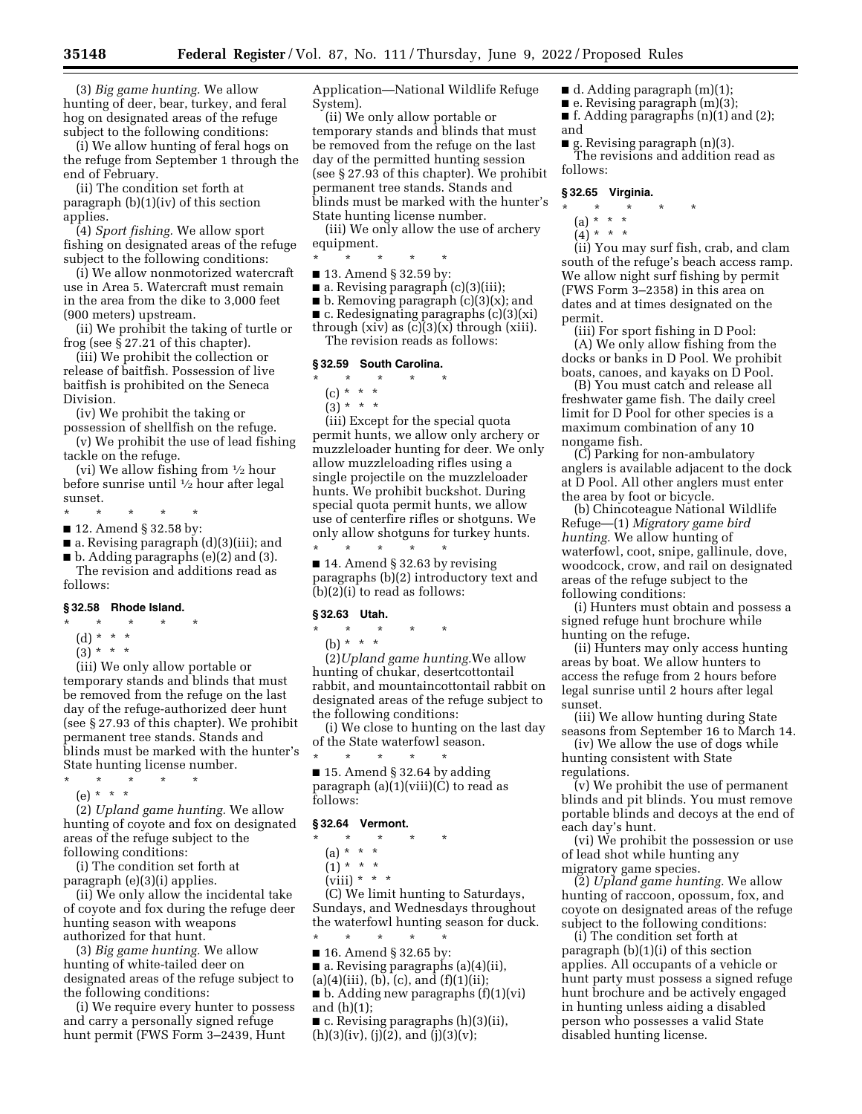(3) *Big game hunting.* We allow hunting of deer, bear, turkey, and feral hog on designated areas of the refuge subject to the following conditions:

(i) We allow hunting of feral hogs on the refuge from September 1 through the end of February.

(ii) The condition set forth at paragraph (b)(1)(iv) of this section applies.

(4) *Sport fishing.* We allow sport fishing on designated areas of the refuge subject to the following conditions:

(i) We allow nonmotorized watercraft use in Area 5. Watercraft must remain in the area from the dike to 3,000 feet (900 meters) upstream.

(ii) We prohibit the taking of turtle or frog (see § 27.21 of this chapter).

(iii) We prohibit the collection or release of baitfish. Possession of live baitfish is prohibited on the Seneca Division.

(iv) We prohibit the taking or

possession of shellfish on the refuge. (v) We prohibit the use of lead fishing tackle on the refuge.

(vi) We allow fishing from 1⁄2 hour before sunrise until 1⁄2 hour after legal sunset.

- $\star$   $\qquad$   $\star$   $\qquad$   $\star$
- 12. Amend § 32.58 by:
- a. Revising paragraph (d)(3)(iii); and

 $\blacksquare$  b. Adding paragraphs (e)(2) and (3).

The revision and additions read as follows:

#### **§ 32.58 Rhode Island.**

- \* \* \* \* \*
	- (d) \* \* \*
	- $(3) * * * *$

(iii) We only allow portable or temporary stands and blinds that must be removed from the refuge on the last day of the refuge-authorized deer hunt (see § 27.93 of this chapter). We prohibit permanent tree stands. Stands and blinds must be marked with the hunter's State hunting license number.

- \* \* \* \* \*
	- (e) \* \* \*

(2) *Upland game hunting.* We allow hunting of coyote and fox on designated areas of the refuge subject to the following conditions:

(i) The condition set forth at paragraph (e)(3)(i) applies.

(ii) We only allow the incidental take of coyote and fox during the refuge deer hunting season with weapons authorized for that hunt.

(3) *Big game hunting.* We allow hunting of white-tailed deer on designated areas of the refuge subject to the following conditions:

(i) We require every hunter to possess and carry a personally signed refuge hunt permit (FWS Form 3–2439, Hunt

Application—National Wildlife Refuge System).

(ii) We only allow portable or temporary stands and blinds that must be removed from the refuge on the last day of the permitted hunting session (see § 27.93 of this chapter). We prohibit permanent tree stands. Stands and blinds must be marked with the hunter's State hunting license number.

(iii) We only allow the use of archery equipment.

- \* \* \* \* \*
- 13. Amend § 32.59 by:
- a. Revising paragraph (c)(3)(iii);

■ b. Removing paragraph (c)(3)(x); and

 $\blacksquare$  c. Redesignating paragraphs (c)(3)(xi)

through (xiv) as (c)(3)(x) through (xiii). The revision reads as follows:

#### **§ 32.59 South Carolina.**

# \* \* \* \* \*

- (c) \* \* \*
- $(3) * * * *$

(iii) Except for the special quota permit hunts, we allow only archery or muzzleloader hunting for deer. We only allow muzzleloading rifles using a single projectile on the muzzleloader hunts. We prohibit buckshot. During special quota permit hunts, we allow use of centerfire rifles or shotguns. We only allow shotguns for turkey hunts. \* \* \* \* \*

■ 14. Amend § 32.63 by revising paragraphs (b)(2) introductory text and (b)(2)(i) to read as follows:

### **§ 32.63 Utah.**

- \* \* \* \* \*
	- (b) \* \* \*

(2)*Upland game hunting.*We allow hunting of chukar, desertcottontail rabbit, and mountaincottontail rabbit on designated areas of the refuge subject to the following conditions:

(i) We close to hunting on the last day of the State waterfowl season.  $\star$   $\star$   $\star$ 

 $\blacksquare$  15. Amend § 32.64 by adding paragraph (a)(1)(viii)(C) to read as follows:

#### **§ 32.64 Vermont.**

\* \* \* \* \*

 $(a) * * * *$ 

 $(1) * * * *$ 

 $(viii) * * * *$ 

(C) We limit hunting to Saturdays, Sundays, and Wednesdays throughout the waterfowl hunting season for duck.

- \* \* \* \* \* ■ 16. Amend § 32.65 by:
- a. Revising paragraphs (a)(4)(ii),
- $(a)(4)(iii), (b), (c), and (f)(1)(ii);$

 $\blacksquare$  b. Adding new paragraphs  $(f)(1)(vi)$ and (h)(1);

 $\blacksquare$  c. Revising paragraphs (h)(3)(ii),  $(h)(3)(iv)$ ,  $(i)(2)$ , and  $(i)(3)(v)$ ;

- d. Adding paragraph (m)(1);
- e. Revising paragraph (m)(3);
- f. Adding paragraphs  $(n)(1)$  and  $(2)$ ; and
- g. Revising paragraph (n)(3). The revisions and addition read as follows:

#### **§ 32.65 Virginia.**

# \* \* \* \* \*

- (a) \* \* \*
- $(4)^*$  \* \* \*

(ii) You may surf fish, crab, and clam south of the refuge's beach access ramp. We allow night surf fishing by permit (FWS Form 3–2358) in this area on dates and at times designated on the permit.

(iii) For sport fishing in D Pool: (A) We only allow fishing from the docks or banks in D Pool. We prohibit boats, canoes, and kayaks on D Pool.

(B) You must catch and release all freshwater game fish. The daily creel limit for D Pool for other species is a maximum combination of any 10 nongame fish.

(C) Parking for non-ambulatory anglers is available adjacent to the dock at D Pool. All other anglers must enter the area by foot or bicycle.

(b) Chincoteague National Wildlife Refuge—(1) *Migratory game bird hunting.* We allow hunting of waterfowl, coot, snipe, gallinule, dove, woodcock, crow, and rail on designated areas of the refuge subject to the following conditions:

(i) Hunters must obtain and possess a signed refuge hunt brochure while hunting on the refuge.

(ii) Hunters may only access hunting areas by boat. We allow hunters to access the refuge from 2 hours before legal sunrise until 2 hours after legal sunset.

(iii) We allow hunting during State seasons from September 16 to March 14.

(iv) We allow the use of dogs while hunting consistent with State regulations.

(v) We prohibit the use of permanent blinds and pit blinds. You must remove portable blinds and decoys at the end of each day's hunt.

(vi) We prohibit the possession or use of lead shot while hunting any migratory game species.

(2) *Upland game hunting.* We allow hunting of raccoon, opossum, fox, and coyote on designated areas of the refuge subject to the following conditions:

(i) The condition set forth at paragraph (b)(1)(i) of this section applies. All occupants of a vehicle or hunt party must possess a signed refuge hunt brochure and be actively engaged in hunting unless aiding a disabled person who possesses a valid State disabled hunting license.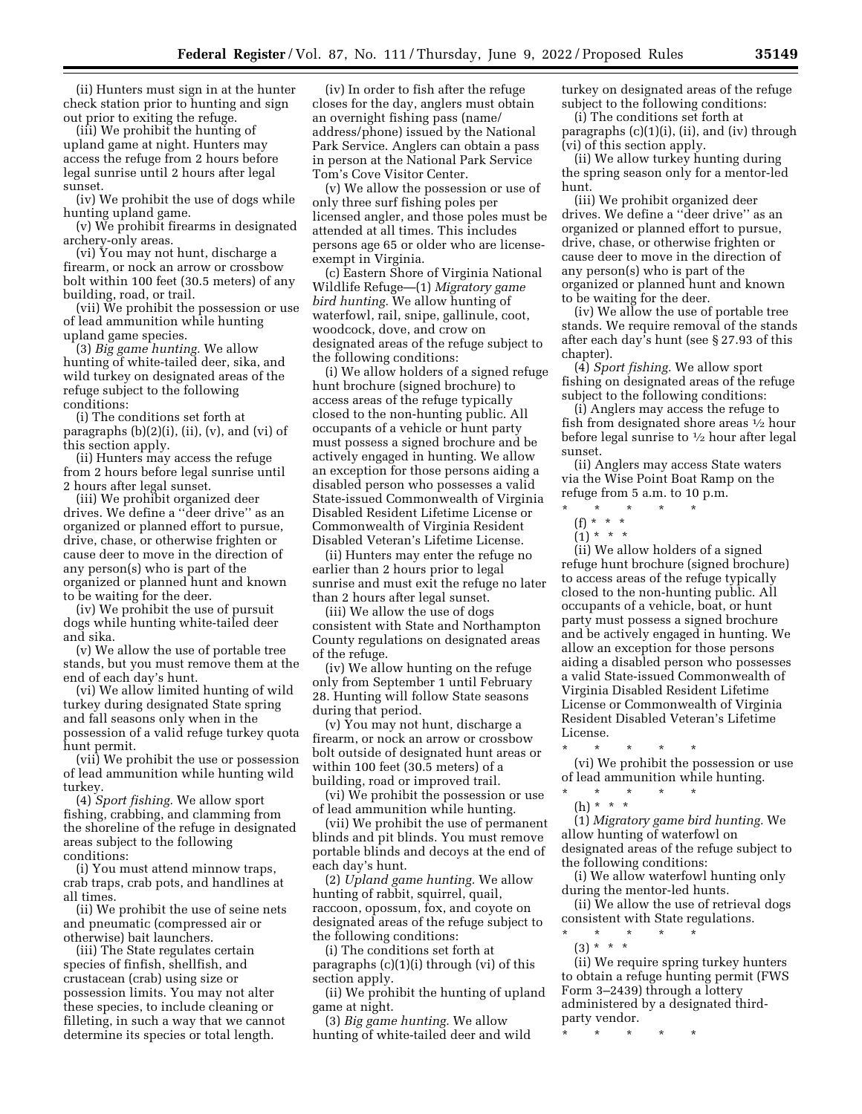(ii) Hunters must sign in at the hunter check station prior to hunting and sign out prior to exiting the refuge.

(iii) We prohibit the hunting of upland game at night. Hunters may access the refuge from 2 hours before legal sunrise until 2 hours after legal sunset.

(iv) We prohibit the use of dogs while hunting upland game.

(v) We prohibit firearms in designated archery-only areas.

(vi) You may not hunt, discharge a firearm, or nock an arrow or crossbow bolt within 100 feet (30.5 meters) of any building, road, or trail.

(vii) We prohibit the possession or use of lead ammunition while hunting upland game species.

(3) *Big game hunting.* We allow hunting of white-tailed deer, sika, and wild turkey on designated areas of the refuge subject to the following conditions:

(i) The conditions set forth at paragraphs  $(b)(2)(i)$ ,  $(ii)$ ,  $(v)$ , and  $(vi)$  of this section apply.

(ii) Hunters may access the refuge from 2 hours before legal sunrise until 2 hours after legal sunset.

(iii) We prohibit organized deer drives. We define a ''deer drive'' as an organized or planned effort to pursue, drive, chase, or otherwise frighten or cause deer to move in the direction of any person(s) who is part of the organized or planned hunt and known to be waiting for the deer.

(iv) We prohibit the use of pursuit dogs while hunting white-tailed deer and sika.

(v) We allow the use of portable tree stands, but you must remove them at the end of each day's hunt.

(vi) We allow limited hunting of wild turkey during designated State spring and fall seasons only when in the possession of a valid refuge turkey quota hunt permit.

(vii) We prohibit the use or possession of lead ammunition while hunting wild turkey.

(4) *Sport fishing.* We allow sport fishing, crabbing, and clamming from the shoreline of the refuge in designated areas subject to the following conditions:

(i) You must attend minnow traps, crab traps, crab pots, and handlines at all times.

(ii) We prohibit the use of seine nets and pneumatic (compressed air or otherwise) bait launchers.

(iii) The State regulates certain species of finfish, shellfish, and crustacean (crab) using size or possession limits. You may not alter these species, to include cleaning or filleting, in such a way that we cannot determine its species or total length.

(iv) In order to fish after the refuge closes for the day, anglers must obtain an overnight fishing pass (name/ address/phone) issued by the National Park Service. Anglers can obtain a pass in person at the National Park Service Tom's Cove Visitor Center.

(v) We allow the possession or use of only three surf fishing poles per licensed angler, and those poles must be attended at all times. This includes persons age 65 or older who are licenseexempt in Virginia.

(c) Eastern Shore of Virginia National Wildlife Refuge—(1) *Migratory game bird hunting.* We allow hunting of waterfowl, rail, snipe, gallinule, coot, woodcock, dove, and crow on designated areas of the refuge subject to the following conditions:

(i) We allow holders of a signed refuge hunt brochure (signed brochure) to access areas of the refuge typically closed to the non-hunting public. All occupants of a vehicle or hunt party must possess a signed brochure and be actively engaged in hunting. We allow an exception for those persons aiding a disabled person who possesses a valid State-issued Commonwealth of Virginia Disabled Resident Lifetime License or Commonwealth of Virginia Resident Disabled Veteran's Lifetime License.

(ii) Hunters may enter the refuge no earlier than 2 hours prior to legal sunrise and must exit the refuge no later than 2 hours after legal sunset.

(iii) We allow the use of dogs consistent with State and Northampton County regulations on designated areas of the refuge.

(iv) We allow hunting on the refuge only from September 1 until February 28. Hunting will follow State seasons during that period.

(v) You may not hunt, discharge a firearm, or nock an arrow or crossbow bolt outside of designated hunt areas or within 100 feet (30.5 meters) of a building, road or improved trail.

(vi) We prohibit the possession or use of lead ammunition while hunting.

(vii) We prohibit the use of permanent blinds and pit blinds. You must remove portable blinds and decoys at the end of each day's hunt.

(2) *Upland game hunting.* We allow hunting of rabbit, squirrel, quail, raccoon, opossum, fox, and coyote on designated areas of the refuge subject to the following conditions:

(i) The conditions set forth at paragraphs (c)(1)(i) through (vi) of this section apply.

(ii) We prohibit the hunting of upland game at night.

(3) *Big game hunting.* We allow hunting of white-tailed deer and wild turkey on designated areas of the refuge subject to the following conditions:

(i) The conditions set forth at paragraphs (c)(1)(i), (ii), and (iv) through (vi) of this section apply.

(ii) We allow turkey hunting during the spring season only for a mentor-led hunt.

(iii) We prohibit organized deer drives. We define a ''deer drive'' as an organized or planned effort to pursue, drive, chase, or otherwise frighten or cause deer to move in the direction of any person(s) who is part of the organized or planned hunt and known to be waiting for the deer.

(iv) We allow the use of portable tree stands. We require removal of the stands after each day's hunt (see § 27.93 of this chapter).

(4) *Sport fishing.* We allow sport fishing on designated areas of the refuge subject to the following conditions:

(i) Anglers may access the refuge to fish from designated shore areas 1⁄2 hour before legal sunrise to 1⁄2 hour after legal sunset.

(ii) Anglers may access State waters via the Wise Point Boat Ramp on the refuge from 5 a.m. to 10 p.m.

- \* \* \* \* \*
- (f) \* \* \*
- $(1) * * * *$

(ii) We allow holders of a signed refuge hunt brochure (signed brochure) to access areas of the refuge typically closed to the non-hunting public. All occupants of a vehicle, boat, or hunt party must possess a signed brochure and be actively engaged in hunting. We allow an exception for those persons aiding a disabled person who possesses a valid State-issued Commonwealth of Virginia Disabled Resident Lifetime License or Commonwealth of Virginia Resident Disabled Veteran's Lifetime License.

\* \* \* \* \* (vi) We prohibit the possession or use of lead ammunition while hunting.  $\star$   $\star$ 

(h) \* \* \*

(1) *Migratory game bird hunting.* We allow hunting of waterfowl on designated areas of the refuge subject to the following conditions:

(i) We allow waterfowl hunting only during the mentor-led hunts.

(ii) We allow the use of retrieval dogs consistent with State regulations.

- \* \* \* \* \*
- (3) \* \* \* (ii) We require spring turkey hunters to obtain a refuge hunting permit (FWS Form 3–2439) through a lottery administered by a designated thirdparty vendor.
- \* \* \* \* \*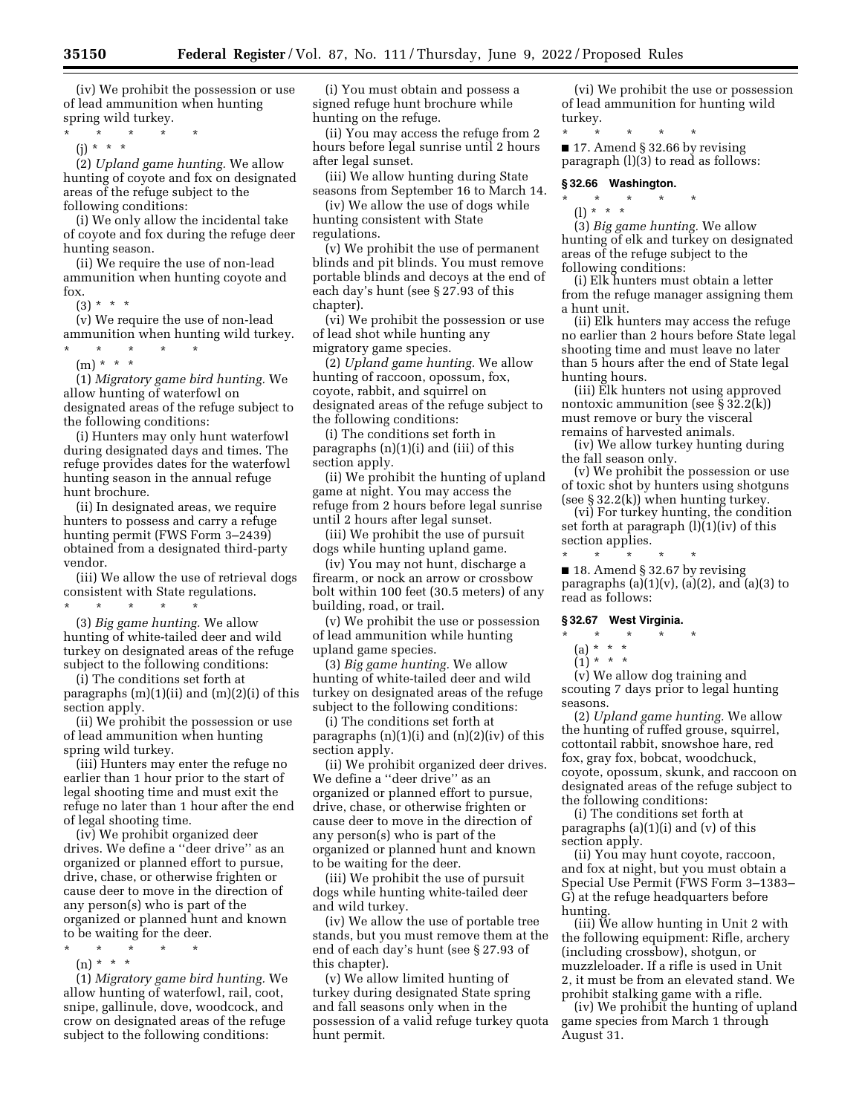(iv) We prohibit the possession or use of lead ammunition when hunting spring wild turkey.

 $*$  \*

(j) \* \* \*

(2) *Upland game hunting.* We allow hunting of coyote and fox on designated areas of the refuge subject to the following conditions:

(i) We only allow the incidental take of coyote and fox during the refuge deer hunting season.

(ii) We require the use of non-lead ammunition when hunting coyote and fox.

 $(3) * * * *$ 

(v) We require the use of non-lead ammunition when hunting wild turkey. \* \* \* \* \*

 $(m) * * * *$ 

(1) *Migratory game bird hunting.* We allow hunting of waterfowl on designated areas of the refuge subject to the following conditions:

(i) Hunters may only hunt waterfowl during designated days and times. The refuge provides dates for the waterfowl hunting season in the annual refuge hunt brochure.

(ii) In designated areas, we require hunters to possess and carry a refuge hunting permit (FWS Form 3–2439) obtained from a designated third-party vendor.

(iii) We allow the use of retrieval dogs consistent with State regulations.  $\star$   $\star$   $\star$   $\star$ 

(3) *Big game hunting.* We allow hunting of white-tailed deer and wild turkey on designated areas of the refuge subject to the following conditions:

(i) The conditions set forth at paragraphs  $(m)(1)(ii)$  and  $(m)(2)(i)$  of this section apply.

(ii) We prohibit the possession or use of lead ammunition when hunting spring wild turkey.

(iii) Hunters may enter the refuge no earlier than 1 hour prior to the start of legal shooting time and must exit the refuge no later than 1 hour after the end of legal shooting time.

(iv) We prohibit organized deer drives. We define a ''deer drive'' as an organized or planned effort to pursue, drive, chase, or otherwise frighten or cause deer to move in the direction of any person(s) who is part of the organized or planned hunt and known to be waiting for the deer.

- \* \* \* \* \*
- $(n) * * * *$

(1) *Migratory game bird hunting.* We allow hunting of waterfowl, rail, coot, snipe, gallinule, dove, woodcock, and crow on designated areas of the refuge subject to the following conditions:

(i) You must obtain and possess a signed refuge hunt brochure while hunting on the refuge.

(ii) You may access the refuge from 2 hours before legal sunrise until 2 hours after legal sunset.

(iii) We allow hunting during State seasons from September 16 to March 14.

(iv) We allow the use of dogs while hunting consistent with State regulations.

(v) We prohibit the use of permanent blinds and pit blinds. You must remove portable blinds and decoys at the end of each day's hunt (see § 27.93 of this chapter).

(vi) We prohibit the possession or use of lead shot while hunting any migratory game species.

(2) *Upland game hunting.* We allow hunting of raccoon, opossum, fox, coyote, rabbit, and squirrel on designated areas of the refuge subject to the following conditions:

(i) The conditions set forth in paragraphs (n)(1)(i) and (iii) of this section apply.

(ii) We prohibit the hunting of upland game at night. You may access the refuge from 2 hours before legal sunrise until 2 hours after legal sunset.

(iii) We prohibit the use of pursuit dogs while hunting upland game.

(iv) You may not hunt, discharge a firearm, or nock an arrow or crossbow bolt within 100 feet (30.5 meters) of any building, road, or trail.

(v) We prohibit the use or possession of lead ammunition while hunting upland game species.

(3) *Big game hunting.* We allow hunting of white-tailed deer and wild turkey on designated areas of the refuge subject to the following conditions:

(i) The conditions set forth at paragraphs  $(n)(1)(i)$  and  $(n)(2)(iv)$  of this section apply.

(ii) We prohibit organized deer drives. We define a ''deer drive'' as an organized or planned effort to pursue, drive, chase, or otherwise frighten or cause deer to move in the direction of any person(s) who is part of the organized or planned hunt and known to be waiting for the deer.

(iii) We prohibit the use of pursuit dogs while hunting white-tailed deer and wild turkey.

(iv) We allow the use of portable tree stands, but you must remove them at the end of each day's hunt (see § 27.93 of this chapter).

(v) We allow limited hunting of turkey during designated State spring and fall seasons only when in the possession of a valid refuge turkey quota hunt permit.

(vi) We prohibit the use or possession of lead ammunition for hunting wild turkey.

\* \* \* \* \*

■ 17. Amend § 32.66 by revising paragraph (l)(3) to read as follows:

**§ 32.66 Washington.** 

\* \* \* \* \*

(l) \* \* \*

(3) *Big game hunting.* We allow hunting of elk and turkey on designated areas of the refuge subject to the following conditions:

(i) Elk hunters must obtain a letter from the refuge manager assigning them a hunt unit.

(ii) Elk hunters may access the refuge no earlier than 2 hours before State legal shooting time and must leave no later than 5 hours after the end of State legal hunting hours.

(iii) Elk hunters not using approved nontoxic ammunition (see § 32.2(k)) must remove or bury the visceral remains of harvested animals.

(iv) We allow turkey hunting during the fall season only.

(v) We prohibit the possession or use of toxic shot by hunters using shotguns (see § 32.2(k)) when hunting turkey.

(vi) For turkey hunting, the condition set forth at paragraph (l)(1)(iv) of this section applies.

\* \* \* \* \* ■ 18. Amend § 32.67 by revising paragraphs (a)(1)(v), (a)(2), and (a)(3) to read as follows:

# **§ 32.67 West Virginia.**

\* \* \* \* \*

- (a) \* \* \*
- $(1) * * * *$

(v) We allow dog training and scouting 7 days prior to legal hunting seasons.

(2) *Upland game hunting.* We allow the hunting of ruffed grouse, squirrel, cottontail rabbit, snowshoe hare, red fox, gray fox, bobcat, woodchuck, coyote, opossum, skunk, and raccoon on designated areas of the refuge subject to the following conditions:

(i) The conditions set forth at paragraphs  $(a)(1)(i)$  and  $(v)$  of this section apply.

(ii) You may hunt coyote, raccoon, and fox at night, but you must obtain a Special Use Permit (FWS Form 3–1383– G) at the refuge headquarters before hunting.

(iii) We allow hunting in Unit 2 with the following equipment: Rifle, archery (including crossbow), shotgun, or muzzleloader. If a rifle is used in Unit 2, it must be from an elevated stand. We prohibit stalking game with a rifle.

(iv) We prohibit the hunting of upland game species from March 1 through August 31.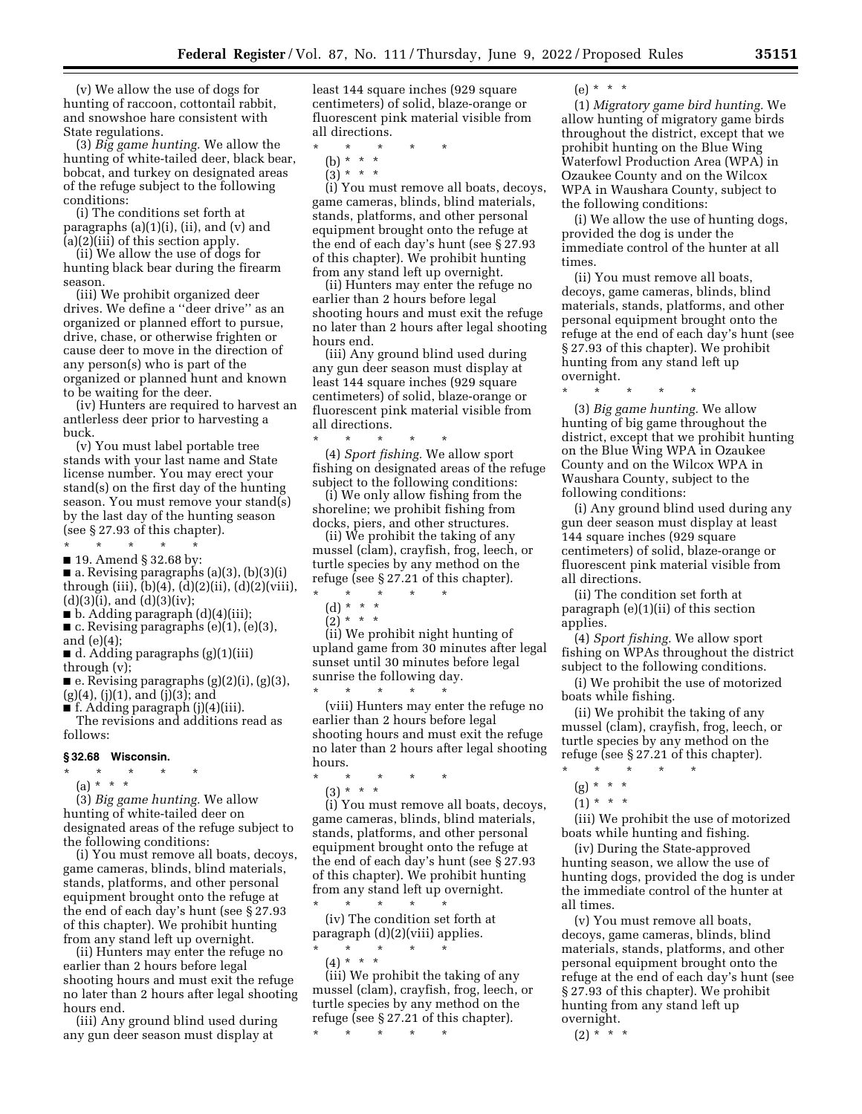(v) We allow the use of dogs for hunting of raccoon, cottontail rabbit, and snowshoe hare consistent with State regulations.

(3) *Big game hunting.* We allow the hunting of white-tailed deer, black bear, bobcat, and turkey on designated areas of the refuge subject to the following conditions:

(i) The conditions set forth at paragraphs (a)(1)(i), (ii), and (v) and (a)(2)(iii) of this section apply.

(ii) We allow the use of dogs for hunting black bear during the firearm season.

(iii) We prohibit organized deer drives. We define a ''deer drive'' as an organized or planned effort to pursue, drive, chase, or otherwise frighten or cause deer to move in the direction of any person(s) who is part of the organized or planned hunt and known to be waiting for the deer.

(iv) Hunters are required to harvest an antlerless deer prior to harvesting a buck.

(v) You must label portable tree stands with your last name and State license number. You may erect your stand(s) on the first day of the hunting season. You must remove your stand(s) by the last day of the hunting season (see § 27.93 of this chapter). \* \* \* \* \*

■ 19. Amend § 32.68 by:

■ a. Revising paragraphs (a)(3), (b)(3)(i) through (iii), (b)(4), (d)(2)(ii), (d)(2)(viii),  $(d)(3)(i)$ , and  $(d)(3)(iv)$ ;

- $\blacksquare$  b. Adding paragraph (d)(4)(iii);
- c. Revising paragraphs (e)(1), (e)(3), and (e)(4);

■ d. Adding paragraphs (g)(1)(iii) through (v);

 $\blacksquare$  e. Revising paragraphs (g)(2)(i), (g)(3),  $(g)(4)$ ,  $(j)(1)$ , and  $(j)(3)$ ; and

■ f. Adding paragraph (j)(4)(iii).

The revisions and additions read as follows:

#### **§ 32.68 Wisconsin.**

\* \* \* \* \*  $(a) * * * *$ 

(3) *Big game hunting.* We allow hunting of white-tailed deer on designated areas of the refuge subject to the following conditions:

(i) You must remove all boats, decoys, game cameras, blinds, blind materials, stands, platforms, and other personal equipment brought onto the refuge at the end of each day's hunt (see §27.93 of this chapter). We prohibit hunting from any stand left up overnight.

(ii) Hunters may enter the refuge no earlier than 2 hours before legal shooting hours and must exit the refuge no later than 2 hours after legal shooting hours end.

(iii) Any ground blind used during any gun deer season must display at

least 144 square inches (929 square centimeters) of solid, blaze-orange or fluorescent pink material visible from all directions.

- \* \* \* \* \*
	- (b) \* \* \*  $(3) * * * *$
	-

(i) You must remove all boats, decoys, game cameras, blinds, blind materials, stands, platforms, and other personal equipment brought onto the refuge at the end of each day's hunt (see § 27.93 of this chapter). We prohibit hunting from any stand left up overnight.

(ii) Hunters may enter the refuge no earlier than 2 hours before legal shooting hours and must exit the refuge no later than 2 hours after legal shooting hours end.

(iii) Any ground blind used during any gun deer season must display at least 144 square inches (929 square centimeters) of solid, blaze-orange or fluorescent pink material visible from all directions.

\* \* \* \* \* (4) *Sport fishing.* We allow sport fishing on designated areas of the refuge subject to the following conditions:

(i) We only allow fishing from the shoreline; we prohibit fishing from docks, piers, and other structures.

(ii) We prohibit the taking of any mussel (clam), crayfish, frog, leech, or turtle species by any method on the refuge (see § 27.21 of this chapter).

- \* \* \* \* \* (d) \* \* \*
	- $(2) * * * *$

(ii) We prohibit night hunting of upland game from 30 minutes after legal sunset until 30 minutes before legal sunrise the following day.

\* \* \* \* \* (viii) Hunters may enter the refuge no earlier than 2 hours before legal shooting hours and must exit the refuge no later than 2 hours after legal shooting hours.

\* \* \* \* \*

(3) \* \* \*

(i) You must remove all boats, decoys, game cameras, blinds, blind materials, stands, platforms, and other personal equipment brought onto the refuge at the end of each day's hunt (see § 27.93 of this chapter). We prohibit hunting from any stand left up overnight. \* \* \* \* \*

(iv) The condition set forth at paragraph (d)(2)(viii) applies. \* \* \* \* \*

 $(4) * * * *$ 

(iii) We prohibit the taking of any mussel (clam), crayfish, frog, leech, or turtle species by any method on the refuge (see § 27.21 of this chapter).

\* \* \* \* \*

(e) \* \* \*

(1) *Migratory game bird hunting.* We allow hunting of migratory game birds throughout the district, except that we prohibit hunting on the Blue Wing Waterfowl Production Area (WPA) in Ozaukee County and on the Wilcox WPA in Waushara County, subject to the following conditions:

(i) We allow the use of hunting dogs, provided the dog is under the immediate control of the hunter at all times.

(ii) You must remove all boats, decoys, game cameras, blinds, blind materials, stands, platforms, and other personal equipment brought onto the refuge at the end of each day's hunt (see § 27.93 of this chapter). We prohibit hunting from any stand left up overnight.

\* \* \* \* \*

(3) *Big game hunting.* We allow hunting of big game throughout the district, except that we prohibit hunting on the Blue Wing WPA in Ozaukee County and on the Wilcox WPA in Waushara County, subject to the following conditions:

(i) Any ground blind used during any gun deer season must display at least 144 square inches (929 square centimeters) of solid, blaze-orange or fluorescent pink material visible from all directions.

(ii) The condition set forth at paragraph (e)(1)(ii) of this section applies.

(4) *Sport fishing.* We allow sport fishing on WPAs throughout the district subject to the following conditions.

(i) We prohibit the use of motorized boats while fishing.

(ii) We prohibit the taking of any mussel (clam), crayfish, frog, leech, or turtle species by any method on the refuge (see § 27.21 of this chapter). \* \* \* \* \*

- 
- $(g) * * * *$
- $(1) * * * *$

(iii) We prohibit the use of motorized boats while hunting and fishing.

(iv) During the State-approved hunting season, we allow the use of hunting dogs, provided the dog is under the immediate control of the hunter at all times.

(v) You must remove all boats, decoys, game cameras, blinds, blind materials, stands, platforms, and other personal equipment brought onto the refuge at the end of each day's hunt (see § 27.93 of this chapter). We prohibit hunting from any stand left up overnight.

 $(2) * * * *$